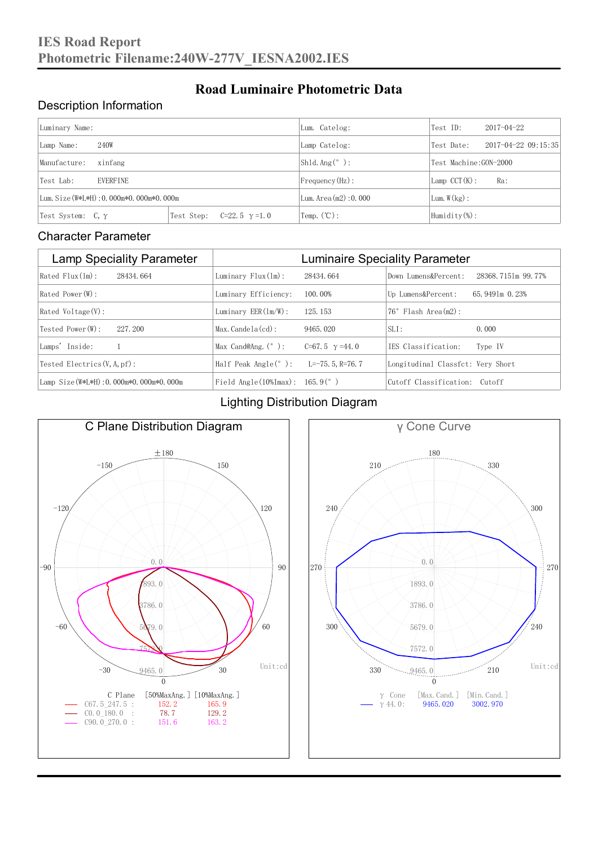### Description Information

| Luminary Name:                          |                                     | Lum. Catelog:                | Test ID:                    | $2017 - 04 - 22$ |  |
|-----------------------------------------|-------------------------------------|------------------------------|-----------------------------|------------------|--|
| 240W<br>Lamp Name:                      | Lamp Catelog:                       | Test Date:                   | $2017 - 04 - 22$ $09:15:35$ |                  |  |
| Manufacture:<br>xinfang                 |                                     | Shld. $Ang (°)$ :            | Test Machine: GON-2000      |                  |  |
| <b>EVERFINE</b><br>Test Lab:            |                                     | $Frequency(Hz)$ :            | $Lamp$ CCT(K):              | Ra:              |  |
| Lum. Size (W*L*H): 0.000m*0.000m*0.000m |                                     | Lum. $Area(m2):0.000$        | Lum. $W(kg)$ :              |                  |  |
| Test System: $C, \gamma$                | Test Step:<br>$C=22.5$ $\gamma=1.0$ | $\text{Temp.} (\text{°C})$ : | Humidity $(\%)$ :           |                  |  |

**Road Luminaire Photometric Data**

#### Character Parameter

| <b>Lamp Speciality Parameter</b>       | <b>Luminaire Speciality Parameter</b>                               |                       |                                   |                    |
|----------------------------------------|---------------------------------------------------------------------|-----------------------|-----------------------------------|--------------------|
| Rated Flux(1m):<br>28434, 664          | Luminary $Flux(ln)$ :                                               | 28434, 664            | Down Lumens&Percent:              | 28368.7151m 99.77% |
| Rated Power (W):                       | Luminary Efficiency:                                                | 100.00%               | Up Lumens&Percent:                | 65, 9491m 0, 23%   |
| Rated Voltage (V):                     | Luminary $EER(\ln/W)$ :                                             | 125, 153              | $76°$ Flash Area $(m2)$ :         |                    |
| Tested Power(W):<br>227, 200           | $Max. Candela(cd)$ :                                                | 9465, 020             | $SLI$ :                           | 0.000              |
| Lamps' Inside:                         | Max Cand@Ang. $(°)$ :                                               | C=67.5 $\gamma$ =44.0 | TES Classification:               | Type IV            |
| Tested Electrics $(V, A, pf)$ :        | Half Peak Angle $(°)$ :                                             | $L=-75.5$ , R=76.7    | Longitudinal Classfct: Very Short |                    |
| Lamp Size(W*L*H): 0.000m*0.000m*0.000m | Field Angle $(10\text{\%} \text{Im} \text{ax})$ : 165.9 $(^\circ$ ) |                       | Cutoff Classification: Cutoff     |                    |

#### Lighting Distribution Diagram



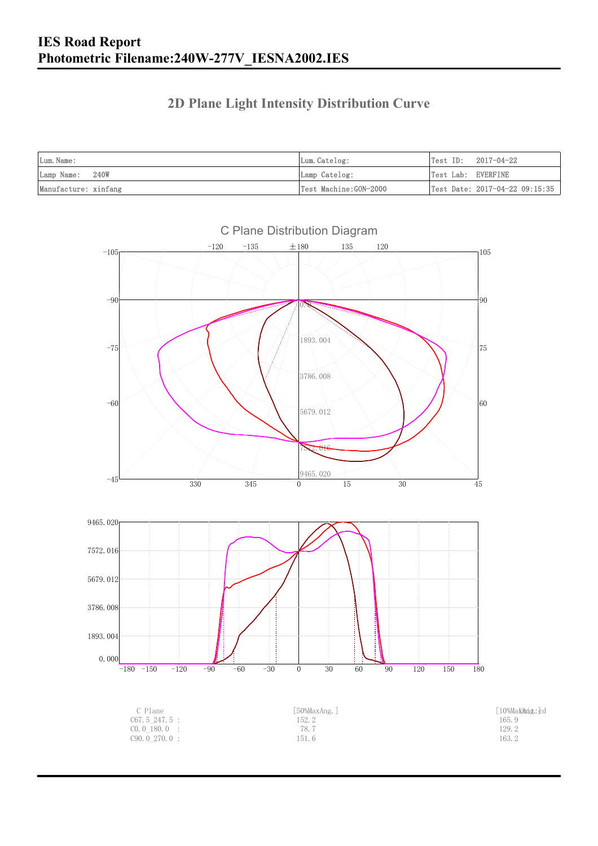### **2D Plane Light Intensity Distribution Curve**

| Lum. Name:           | Lum.Catelog:          | Test ID:<br>2017-04-22         |
|----------------------|-----------------------|--------------------------------|
| Lamp Name: 240W      | Lamp Catelog:         | Test Lab: EVERFINE             |
| Manufacture: xinfang | Test Machine:GON-2000 | Test Date: 2017-04-22 09:15:35 |

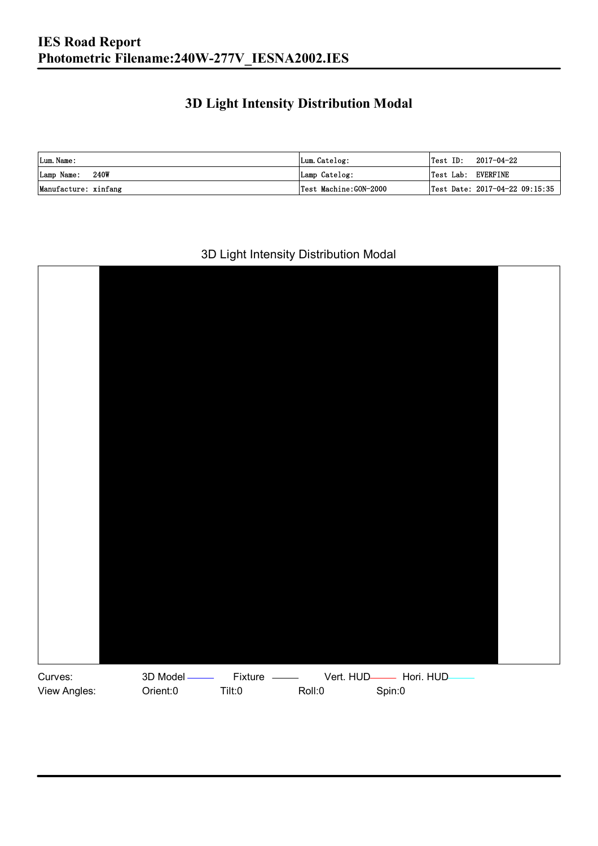### **3D Light Intensity Distribution Modal**

| Lum. Name:           | Lum.Catelog:          |                    | $\textsf{Test ID:} \quad 2017-04-22$ |
|----------------------|-----------------------|--------------------|--------------------------------------|
| Lamp Name: 240W      | Lamp Catelog:         | Test Lab: EVERFINE |                                      |
| Manufacture: xinfang | Test Machine:GON-2000 |                    | Test Date: 2017-04-22 09:15:35       |

#### 3D Light Intensity Distribution Modal

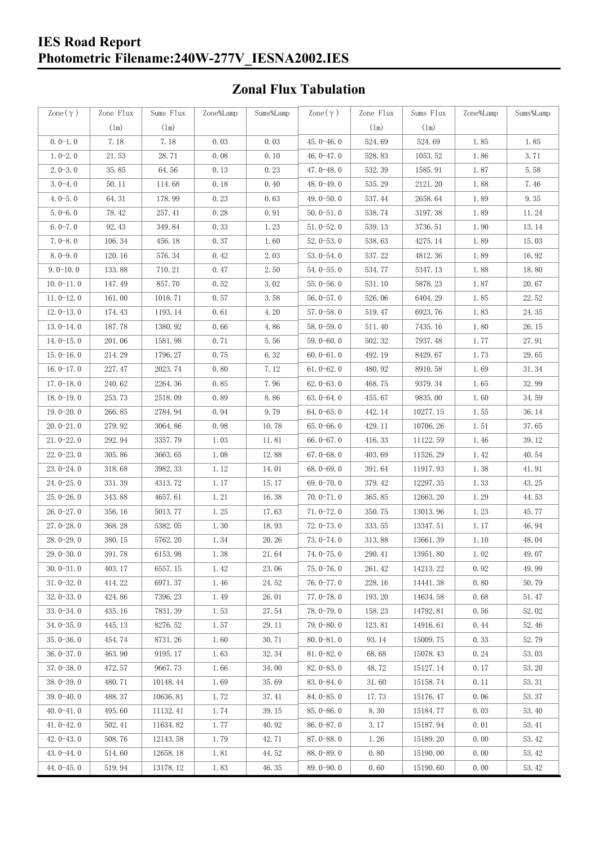#### **IES Road Report Photometric Filename:240W-277V\_IESNA2002.IES**

## **Zonal Flux Tabulation**

| Zone $(\gamma)$ | Zone Flux | Sums Flux | Zone%Lamp | Sums%Lamp | Zone $(\gamma)$ | Zone Flux | Sums Flux | Zone%Lamp | Sums%Lamp |
|-----------------|-----------|-----------|-----------|-----------|-----------------|-----------|-----------|-----------|-----------|
|                 | (1m)      | (1m)      |           |           |                 | (1m)      | (1m)      |           |           |
| $0.0-1.0$       | 7.18      | 7.18      | 0.03      | 0.03      | $45.0 - 46.0$   | 524.69    | 524.69    | 1.85      | 1.85      |
| $1.0 - 2.0$     | 21.53     | 28.71     | 0.08      | 0.10      | 46.0-47.0       | 528.83    | 1053.52   | 1.86      | 3.71      |
| $2.0 - 3.0$     | 35.85     | 64.56     | 0.13      | 0.23      | 47.0-48.0       | 532.39    | 1585.91   | 1.87      | 5.58      |
| $3.0 - 4.0$     | 50.11     | 114.68    | 0.18      | 0.40      | 48.0-49.0       | 535.29    | 2121.20   | 1.88      | 7.46      |
| $4.0 - 5.0$     | 64.31     | 178.99    | 0.23      | 0.63      | 49.0 $-50.0$    | 537.44    | 2658.64   | 1.89      | 9.35      |
| $5.0 - 6.0$     | 78.42     | 257.41    | 0.28      | 0.91      | $50.0 - 51.0$   | 538.74    | 3197.38   | 1.89      | 11.24     |
| $6.0 - 7.0$     | 92.43     | 349.84    | 0.33      | 1.23      | $51.0 - 52.0$   | 539.13    | 3736.51   | 1.90      | 13.14     |
| $7.0 - 8.0$     | 106.34    | 456.18    | 0.37      | 1.60      | $52.0 - 53.0$   | 538.63    | 4275.14   | 1.89      | 15.03     |
| $8.0 - 9.0$     | 120.16    | 576.34    | 0.42      | 2.03      | $53.0 - 54.0$   | 537.22    | 4812.36   | 1.89      | 16.92     |
| $9.0 - 10.0$    | 133.88    | 710.21    | 0.47      | 2.50      | $54.0 - 55.0$   | 534.77    | 5347.13   | 1.88      | 18.80     |
| $10.0 - 11.0$   | 147.49    | 857.70    | 0.52      | 3.02      | $55.0 - 56.0$   | 531.10    | 5878.23   | 1.87      | 20.67     |
| $11.0 - 12.0$   | 161.00    | 1018.71   | 0.57      | 3.58      | $56.0 - 57.0$   | 526.06    | 6404.29   | 1.85      | 22.52     |
| $12.0 - 13.0$   | 174.43    | 1193.14   | 0.61      | 4.20      | $57.0 - 58.0$   | 519.47    | 6923.76   | 1.83      | 24.35     |
| $13.0 - 14.0$   | 187.78    | 1380.92   | 0.66      | 4.86      | 58.0-59.0       | 511.40    | 7435.16   | 1.80      | 26.15     |
| $14.0 - 15.0$   | 201.06    | 1581.98   | 0.71      | 5.56      | 59.0-60.0       | 502.32    | 7937.48   | 1.77      | 27.91     |
| $15.0 - 16.0$   | 214.29    | 1796.27   | 0.75      | 6.32      | $60.0 - 61.0$   | 492.19    | 8429.67   | 1.73      | 29.65     |
| $16.0 - 17.0$   | 227.47    | 2023.74   | 0.80      | 7.12      | $61.0 - 62.0$   | 480.92    | 8910.58   | 1.69      | 31.34     |
| $17.0 - 18.0$   | 240.62    | 2264.36   | 0.85      | 7.96      | $62.0 - 63.0$   | 468.75    | 9379.34   | 1.65      | 32.99     |
| $18.0 - 19.0$   | 253.73    | 2518.09   | 0.89      | 8.86      | $63.0 - 64.0$   | 455.67    | 9835.00   | 1.60      | 34.59     |
| $19.0 - 20.0$   | 266.85    | 2784.94   | 0.94      | 9.79      | $64.0 - 65.0$   | 442.14    | 10277.15  | 1.55      | 36.14     |
| $20.0 - 21.0$   | 279.92    | 3064.86   | 0.98      | 10.78     | $65.0 - 66.0$   | 429.11    | 10706.26  | 1.51      | 37.65     |
| $21.0 - 22.0$   | 292.94    | 3357.79   | 1.03      | 11.81     | 66.0 $-67.0$    | 416.33    | 11122.59  | 1.46      | 39.12     |
| $22.0 - 23.0$   | 305.86    | 3663.65   | 1.08      | 12.88     | $67.0 - 68.0$   | 403.69    | 11526.29  | 1.42      | 40.54     |
| $23.0 - 24.0$   | 318.68    | 3982.33   | 1.12      | 14.01     | $68.0 - 69.0$   | 391.64    | 11917.93  | 1.38      | 41.91     |
| $24.0 - 25.0$   | 331.39    | 4313.72   | 1.17      | 15.17     | 69.0-70.0       | 379.42    | 12297.35  | 1.33      | 43.25     |
| $25.0 - 26.0$   | 343.88    | 4657.61   | 1.21      | 16.38     | $70.0 - 71.0$   | 365.85    | 12663.20  | 1.29      | 44.53     |
| $26.0 - 27.0$   | 356.16    | 5013.77   | 1.25      | 17.63     | $71.0 - 72.0$   | 350.75    | 13013.96  | 1.23      | 45.77     |
| $27.0 - 28.0$   | 368.28    | 5382.05   | 1.30      | 18.93     | $72.0 - 73.0$   | 333.55    | 13347.51  | 1.17      | 46.94     |
| 28.0-29.0       | 380.15    | 5762.20   | 1.34      | 20.26     | 73.0-74.0       | 313.88    | 13661.39  | 1.10      | 48.04     |
| $29.0 - 30.0$   | 391.78    | 6153.98   | 1.38      | 21.64     | 74.0-75.0       | 290.41    | 13951.80  | 1.02      | 49.07     |
| $30.0 - 31.0$   | 403.17    | 6557.15   | 1.42      | 23.06     | $75.0 - 76.0$   | 261.42    | 14213.22  | 0.92      | 49.99     |
| $31.0 - 32.0$   | 414.22    | 6971.37   | 1.46      | 24.52     | 76.0-77.0       | 228.16    | 14441.38  | 0.80      | 50.79     |
| $32.0 - 33.0$   | 424.86    | 7396.23   | 1.49      | 26.01     | $77.0 - 78.0$   | 193.20    | 14634.58  | 0.68      | 51.47     |
| $33.0 - 34.0$   | 435.16    | 7831.39   | 1.53      | 27.54     | 78.0-79.0       | 158.23    | 14792.81  | 0.56      | 52.02     |
| $34.0 - 35.0$   | 445.13    | 8276.52   | 1.57      | 29.11     | 79.0-80.0       | 123.81    | 14916.61  | 0.44      | 52.46     |
| $35.0 - 36.0$   | 454.74    | 8731.26   | 1.60      | 30.71     | $80.0 - 81.0$   | 93.14     | 15009.75  | 0.33      | 52.79     |
| $36.0 - 37.0$   | 463.90    | 9195.17   | 1.63      | 32.34     | $81.0 - 82.0$   | 68.68     | 15078.43  | 0.24      | 53.03     |
| $37.0 - 38.0$   | 472.57    | 9667.73   | 1.66      | 34.00     | 82.0-83.0       | 48.72     | 15127.14  | 0.17      | 53.20     |
| $38.0 - 39.0$   | 480.71    | 10148.44  | 1.69      | 35.69     | $83.0 - 84.0$   | 31.60     | 15158.74  | 0.11      | 53.31     |
| $39.0 - 40.0$   | 488.37    | 10636.81  | 1.72      | 37.41     | $84.0 - 85.0$   | 17.73     | 15176.47  | 0.06      | 53.37     |
| $40.0 - 41.0$   | 495.60    | 11132.41  | 1.74      | 39.15     | $85.0 - 86.0$   | 8.30      | 15184.77  | 0.03      | 53.40     |
| $41.0 - 42.0$   | 502.41    | 11634.82  | 1.77      | 40.92     | $86.0 - 87.0$   | 3.17      | 15187.94  | 0.01      | 53.41     |
| $42.0 - 43.0$   | 508.76    | 12143.58  | 1.79      | 42.71     | $87.0 - 88.0$   | 1.26      | 15189.20  | 0.00      | 53.42     |
| $43.0 - 44.0$   | 514.60    | 12658.18  | 1.81      | 44.52     | 88.0-89.0       | 0.80      | 15190.00  | 0.00      | 53.42     |
| $44.0 - 45.0$   | 519.94    | 13178.12  | 1.83      | 46.35     | $89.0 - 90.0$   | 0.60      | 15190.60  | 0.00      | 53.42     |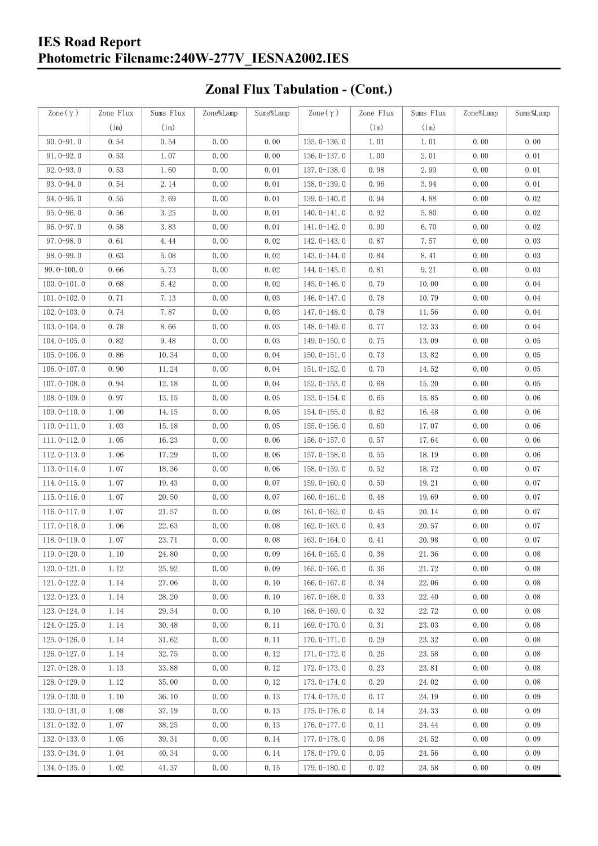#### **IES Road Report Photometric Filename:240W-277V\_IESNA2002.IES**

# **Zonal Flux Tabulation - (Cont.)**

| $\text{Zone}(\gamma)$ | Zone Flux | Sums Flux | Zone%Lamp | Sums%Lamp | Zone $(\gamma)$ | Zone Flux     | Sums Flux             | Zone%Lamp | Sums%Lamp |
|-----------------------|-----------|-----------|-----------|-----------|-----------------|---------------|-----------------------|-----------|-----------|
|                       | (1m)      | (1m)      |           |           |                 | $(\text{lm})$ | (1m)                  |           |           |
| $90.0 - 91.0$         | 0.54      | 0.54      | 0.00      | 0.00      | $135.0 - 136.0$ | 1.01          | 1.01                  | 0.00      | 0.00      |
| $91.0 - 92.0$         | 0.53      | 1.07      | 0.00      | 0.00      | $136.0 - 137.0$ | 1.00          | 2.01                  | 0.00      | 0.01      |
| $92.0 - 93.0$         | 0.53      | 1.60      | 0.00      | 0.01      | 137.0-138.0     | 0.98          | 2.99                  | 0.00      | 0.01      |
| $93.0 - 94.0$         | 0.54      | 2.14      | 0.00      | 0.01      | 138.0-139.0     | 0.96          | 3.94                  | 0.00      | 0.01      |
| $94.0 - 95.0$         | 0.55      | 2.69      | 0.00      | 0.01      | 139.0-140.0     | 0.94          | 4.88                  | 0.00      | 0.02      |
| $95.0 - 96.0$         | 0.56      | 3.25      | 0.00      | 0.01      | $140.0 - 141.0$ | 0.92          | 5.80                  | 0.00      | 0.02      |
| $96.0 - 97.0$         | 0.58      | 3.83      | 0.00      | 0.01      | 141.0-142.0     | 0.90          | 6.70                  | 0.00      | 0.02      |
| $97.0 - 98.0$         | 0.61      | 4.44      | 0.00      | 0.02      | 142.0-143.0     | 0.87          | 7.57                  | 0.00      | 0.03      |
| $98.0 - 99.0$         | 0.63      | 5.08      | 0.00      | 0.02      | 143.0-144.0     | 0.84          | 8.41                  | 0.00      | 0.03      |
| $99.0 - 100.0$        | 0.66      | 5.73      | 0.00      | 0.02      | $144.0 - 145.0$ | 0.81          | 9.21                  | 0.00      | 0.03      |
| $100.0 - 101.0$       | 0.68      | 6.42      | 0.00      | 0.02      | $145.0 - 146.0$ | 0.79          | 10.00                 | 0.00      | 0.04      |
| $101.0 - 102.0$       | 0.71      | 7.13      | 0.00      | 0.03      | $146.0 - 147.0$ | 0.78          | 10.79                 | 0.00      | 0.04      |
| $102.0 - 103.0$       | 0.74      | 7.87      | 0.00      | 0.03      | 147.0-148.0     | 0.78          | 11.56                 | 0.00      | 0.04      |
| $103.0 - 104.0$       | 0.78      | 8.66      | 0.00      | 0.03      | 148.0-149.0     | 0.77          | 12.33                 | 0.00      | 0.04      |
| $104.0 - 105.0$       | 0.82      | 9.48      | 0.00      | 0.03      | $149.0 - 150.0$ | 0.75          | 13.09                 | 0.00      | 0.05      |
| $105.0 - 106.0$       | 0.86      | 10.34     | 0.00      | 0.04      | $150.0 - 151.0$ | 0.73          | 13.82                 | 0.00      | 0.05      |
| $106.0 - 107.0$       | 0.90      | 11.24     | 0.00      | 0.04      | $151.0 - 152.0$ | 0.70          | 14.52                 | 0.00      | 0.05      |
| $107.0 - 108.0$       | 0.94      | 12.18     | 0.00      | 0.04      | $152.0 - 153.0$ | 0.68          | 15.20                 | 0.00      | 0.05      |
| $108.0 - 109.0$       | 0.97      | 13.15     | 0.00      | 0.05      | $153.0 - 154.0$ | 0.65          | 15.85                 | 0.00      | 0.06      |
| $109.0 - 110.0$       | 1.00      | 14.15     | 0.00      | 0.05      | 154.0-155.0     | 0.62          | 16.48                 | 0.00      | 0.06      |
| $110.0 - 111.0$       | 1.03      | 15.18     | 0.00      | 0.05      | $155.0 - 156.0$ | 0.60          | 17.07                 | 0.00      | 0.06      |
| $111.0 - 112.0$       | 1.05      | 16.23     | 0.00      | 0.06      | $156.0 - 157.0$ | 0.57          | 17.64                 | 0.00      | 0.06      |
| $112.0 - 113.0$       | 1.06      | 17.29     | 0.00      | 0.06      | $157.0 - 158.0$ | 0.55          | 18.19                 | 0.00      | 0.06      |
| $113.0 - 114.0$       | 1.07      | 18.36     | 0.00      | 0.06      | $158.0 - 159.0$ | 0.52          | 18.72                 | 0.00      | 0.07      |
| $114.0 - 115.0$       | 1.07      | 19.43     | 0.00      | 0.07      | $159.0 - 160.0$ | 0.50          | 19.21                 | 0.00      | 0.07      |
| $115.0 - 116.0$       | 1.07      | 20.50     | 0.00      | 0.07      | $160.0 - 161.0$ | 0.48          | 19.69                 | 0.00      | 0.07      |
| $116.0 - 117.0$       | 1.07      | 21.57     | 0.00      | 0.08      | $161.0 - 162.0$ | 0.45          | 20.14                 | 0.00      | 0.07      |
| $117.0 - 118.0$       | 1.06      | 22.63     | 0.00      | 0.08      | $162.0 - 163.0$ | 0.43          | 20.57                 | 0.00      | 0.07      |
| $118.0 - 119.0$       | 1.07      | 23.71     | 0.00      | 0.08      | $163.0 - 164.0$ | 0.41          | 20.98                 | 0.00      | 0.07      |
| $119.0 - 120.0$       | 1.10      | 24.80     | 0.00      | 0.09      | $164.0 - 165.0$ | 0.38          | $21.\,\allowbreak 36$ | 0.00      | 0.08      |
| $120.0 - 121.0$       | 1.12      | 25.92     | 0.00      | 0.09      | $165.0 - 166.0$ | 0.36          | 21.72                 | 0.00      | 0.08      |
| $121.0 - 122.0$       | 1.14      | 27.06     | 0.00      | 0.10      | $166.0 - 167.0$ | 0.34          | 22.06                 | 0.00      | 0.08      |
| $122.0 - 123.0$       | 1.14      | 28.20     | 0.00      | 0.10      | $167.0 - 168.0$ | 0.33          | 22.40                 | 0.00      | 0.08      |
| $123.0 - 124.0$       | 1.14      | 29.34     | 0.00      | 0.10      | $168.0 - 169.0$ | 0.32          | 22.72                 | 0.00      | 0.08      |
| $124.0 - 125.0$       | 1.14      | 30.48     | 0.00      | 0.11      | 169.0-170.0     | 0.31          | 23.03                 | 0.00      | 0.08      |
| $125.0 - 126.0$       | 1.14      | 31.62     | 0.00      | 0.11      | $170.0 - 171.0$ | 0.29          | 23.32                 | 0.00      | 0.08      |
| 126.0-127.0           | 1.14      | 32.75     | 0.00      | 0.12      | 171.0-172.0     | 0.26          | 23.58                 | 0.00      | 0.08      |
| $127.0 - 128.0$       | 1.13      | 33.88     | 0.00      | 0.12      | 172.0-173.0     | 0.23          | 23.81                 | 0.00      | 0.08      |
| $128.0 - 129.0$       | 1.12      | 35.00     | 0.00      | 0.12      | 173.0-174.0     | 0.20          | 24.02                 | 0.00      | 0.08      |
| $129.0 - 130.0$       | 1.10      | 36.10     | 0.00      | 0.13      | 174.0-175.0     | 0.17          | 24.19                 | 0.00      | 0.09      |
| $130.0 - 131.0$       | 1.08      | 37.19     | 0.00      | 0.13      | $175.0 - 176.0$ | 0.14          | 24.33                 | 0.00      | 0.09      |
| $131.0 - 132.0$       | 1.07      | 38.25     | 0.00      | 0.13      | $176.0 - 177.0$ | 0.11          | 24.44                 | 0.00      | 0.09      |
| $132.0 - 133.0$       | 1.05      | 39.31     | 0.00      | 0.14      | 177.0-178.0     | 0.08          | 24.52                 | 0.00      | 0.09      |
| $133.0 - 134.0$       | 1.04      | 40.34     | 0.00      | 0.14      | 178.0-179.0     | 0.05          | 24.56                 | 0.00      | 0.09      |
| $134.0 - 135.0$       | 1.02      | 41.37     | 0.00      | 0.15      | $179.0 - 180.0$ | 0.02          | 24.58                 | 0.00      | 0.09      |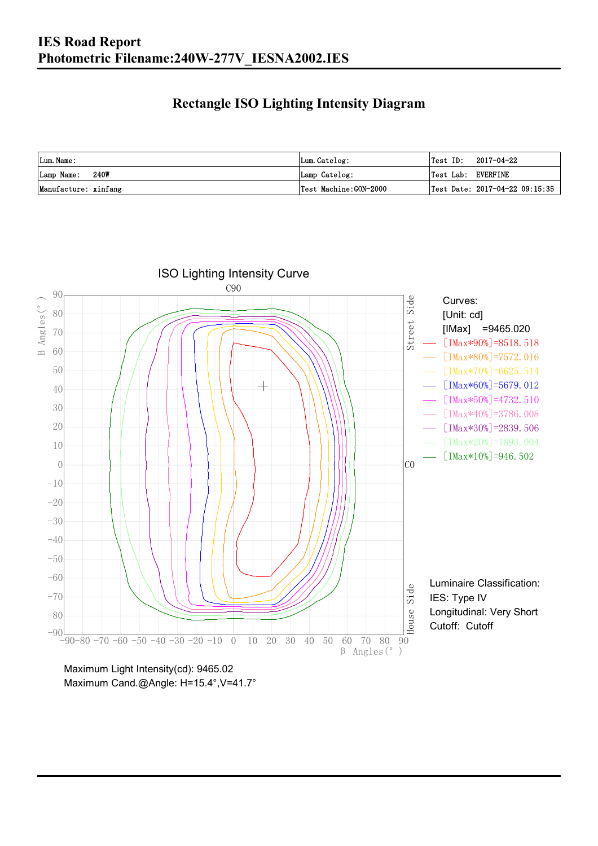### **Rectangle ISO Lighting Intensity Diagram**

| Lum. Name:           | Lum.Catelog:          | $Test ID: 2017-04-22$          |
|----------------------|-----------------------|--------------------------------|
| 240W<br>Lamp Name:   | Lamp Catelog:         | Test Lab: EVERFINE             |
| Manufacture: xinfang | Test Machine:GON-2000 | Test Date: 2017-04-22 09:15:35 |



Maximum Cand.@Angle: H=15.4°, V=41.7°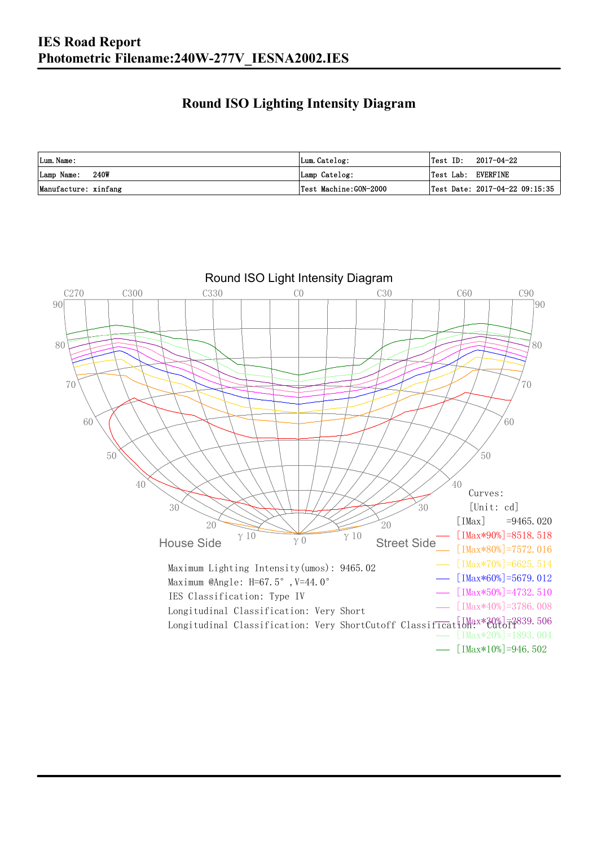### **Round ISO Lighting Intensity Diagram**

| Lum. Name:           | Lum.Catelog:          | 2017-04-22<br>Test ID:                 |
|----------------------|-----------------------|----------------------------------------|
| 240W<br>Lamp Name:   | Lamp Catelog:         | Test Lab: EVERFINE                     |
| Manufacture: xinfang | Test Machine:GON-2000 | $\vert$ Test Date: 2017-04-22 09:15:35 |

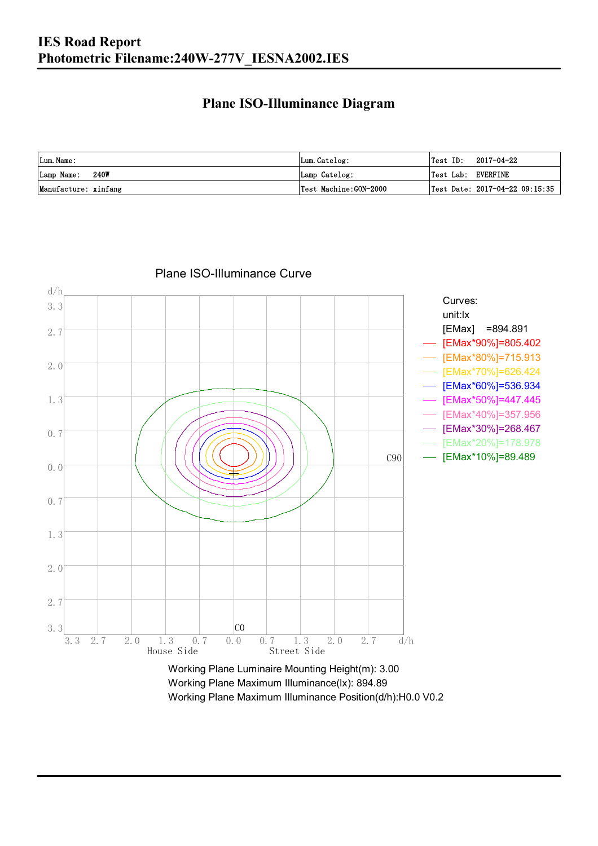### **Plane ISO-Illuminance Diagram**

| Lum. Name:           | Lum.Catelog:          | Test ID:<br>2017-04-22         |
|----------------------|-----------------------|--------------------------------|
| 240W<br>Lamp Name:   | Lamp Catelog:         | Test Lab: EVERFINE             |
| Manufacture: xinfang | Test Machine:GON-2000 | Test Date: 2017-04-22 09:15:35 |



#### Plane ISO-Illuminance Curve

Working Plane Maximum Illuminance(lx): 894.89 Working Plane Maximum Illuminance Position(d/h):H0.0 V0.2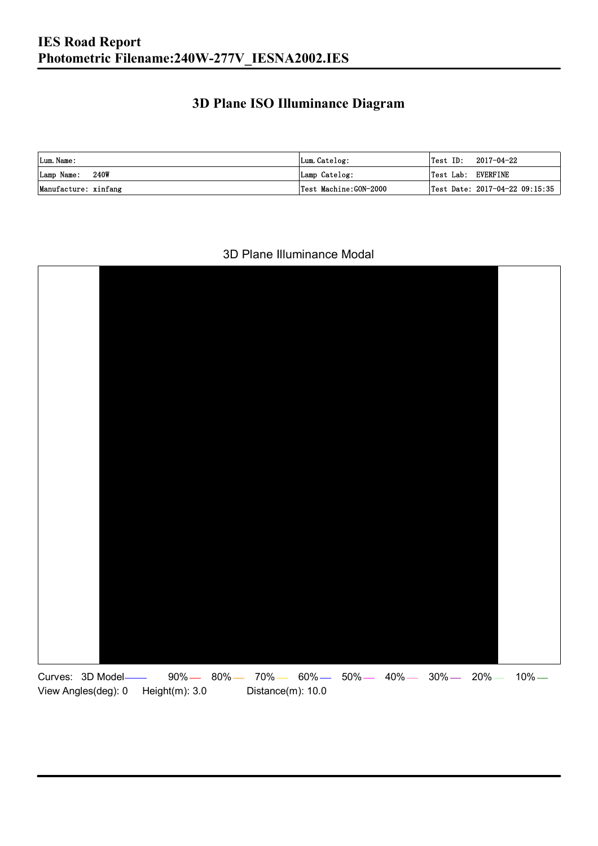### **3D Plane ISO Illuminance Diagram**

| Lum. Name:           | Lum.Catelog:          |                    | $\textsf{Test ID:} \quad 2017-04-22$ |
|----------------------|-----------------------|--------------------|--------------------------------------|
| Lamp Name: 240W      | Lamp Catelog:         | Test Lab: EVERFINE |                                      |
| Manufacture: xinfang | Test Machine:GON-2000 |                    | Test Date: 2017-04-22 09:15:35       |

#### 3D Plane Illuminance Modal

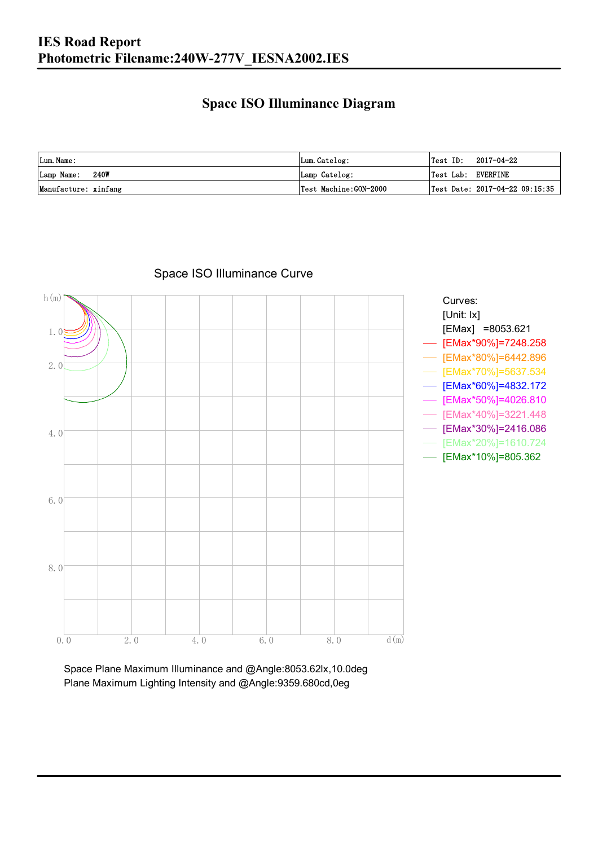### **Space ISO Illuminance Diagram**

| Lum. Name:           | Lum.Catelog:          | $\textsf{Test ID:} \quad 2017-04-22$   |
|----------------------|-----------------------|----------------------------------------|
| 240W<br>Lamp Name:   | Lamp Catelog:         | Test Lab: EVERFINE                     |
| Manufacture: xinfang | Test Machine:GON-2000 | $\vert$ Test Date: 2017-04-22 09:15:35 |



#### Space ISO Illuminance Curve

Space Plane Maximum Illuminance and @Angle:8053.62lx,10.0deg Plane Maximum Lighting Intensity and @Angle:9359.680cd,0eg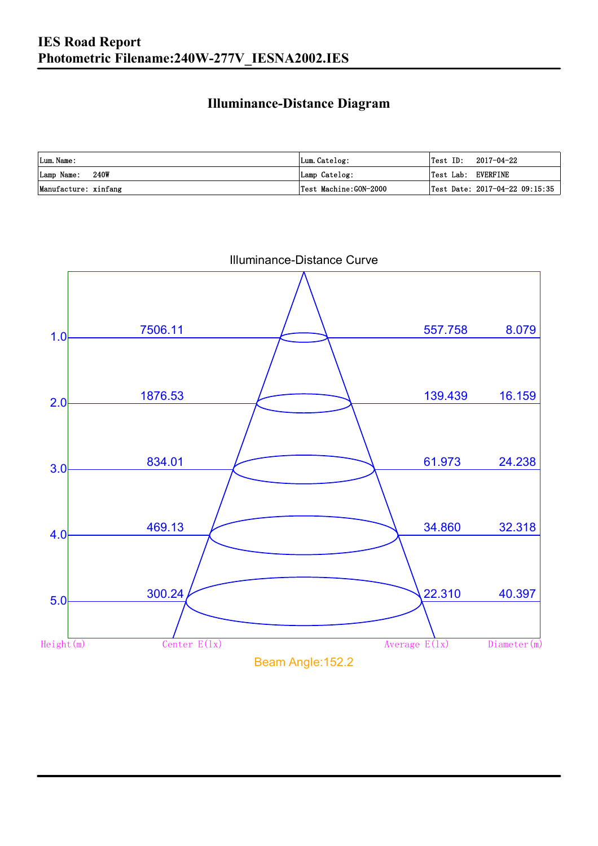### **Illuminance-Distance Diagram**

| Lum. Name:           | Lum.Catelog:           | Test ID:           | 2017-04-22                     |
|----------------------|------------------------|--------------------|--------------------------------|
| Lamp Name: 240W      | Lamp Catelog:          | Test Lab: EVERFINE |                                |
| Manufacture: xinfang | 'Test Machine:GON−2000 |                    | Test Date: 2017-04-22 09:15:35 |

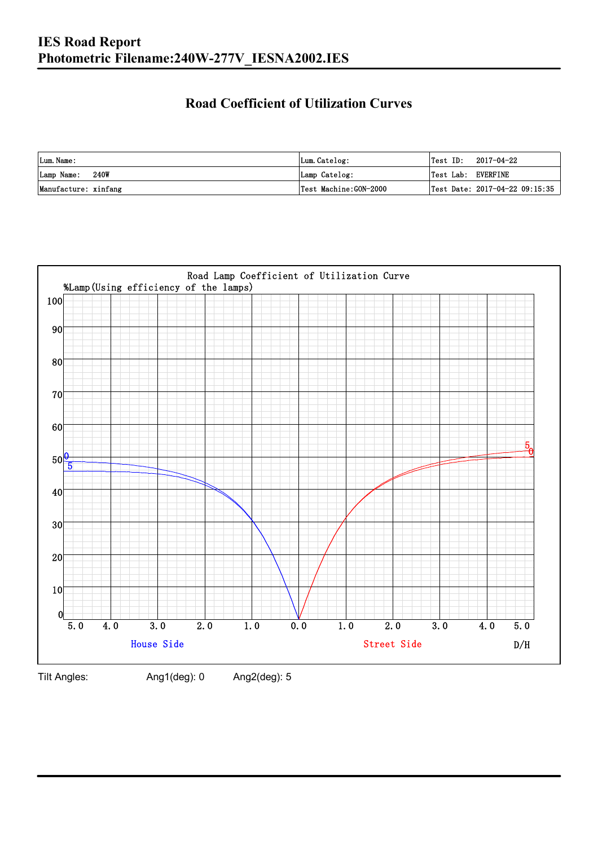### **Road Coefficient of Utilization Curves**

| Lum. Name:           | Lum.Catelog:          | Test ID:           | 2017-04-22                     |
|----------------------|-----------------------|--------------------|--------------------------------|
| Lamp Name: 240W      | Lamp Catelog:         | Test Lab: EVERFINE |                                |
| Manufacture: xinfang | Test Machine:GON-2000 |                    | Test Date: 2017-04-22 09:15:35 |



Tilt Angles: Ang1(deg): 0 Ang2(deg): 5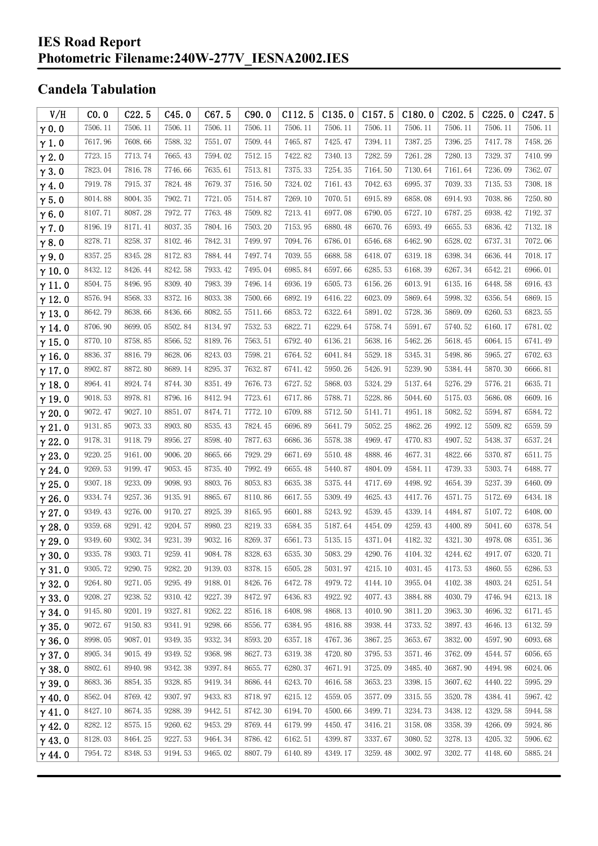#### **IES Road Report Photometric Filename:240W-277V\_IESNA2002.IES**

## **Candela Tabulation**

| V/H           | CO.0    | C22.5   | C45.0   | C67.5   | C90.0   | C112.5  | C135.0  | C157.5  | C180.0  | C <sub>2</sub> 02.5 | C225.0  | C <sub>247.5</sub> |
|---------------|---------|---------|---------|---------|---------|---------|---------|---------|---------|---------------------|---------|--------------------|
| $\gamma$ 0.0  | 7506.11 | 7506.11 | 7506.11 | 7506.11 | 7506.11 | 7506.11 | 7506.11 | 7506.11 | 7506.11 | 7506.11             | 7506.11 | 7506.11            |
| $\gamma$ 1.0  | 7617.96 | 7608.66 | 7588.32 | 7551.07 | 7509.44 | 7465.87 | 7425.47 | 7394.11 | 7387.25 | 7396.25             | 7417.78 | 7458.26            |
| $\gamma$ 2.0  | 7723.15 | 7713.74 | 7665.43 | 7594.02 | 7512.15 | 7422.82 | 7340.13 | 7282.59 | 7261.28 | 7280.13             | 7329.37 | 7410.99            |
| $\gamma$ 3.0  | 7823.04 | 7816.78 | 7746.66 | 7635.61 | 7513.81 | 7375.33 | 7254.35 | 7164.50 | 7130.64 | 7161.64             | 7236.09 | 7362.07            |
| $\gamma$ 4.0  | 7919.78 | 7915.37 | 7824.48 | 7679.37 | 7516.50 | 7324.02 | 7161.43 | 7042.63 | 6995.37 | 7039.33             | 7135.53 | 7308.18            |
| $\gamma$ 5.0  | 8014.88 | 8004.35 | 7902.71 | 7721.05 | 7514.87 | 7269.10 | 7070.51 | 6915.89 | 6858.08 | 6914.93             | 7038.86 | 7250.80            |
| $\gamma$ 6.0  | 8107.71 | 8087.28 | 7972.77 | 7763.48 | 7509.82 | 7213.41 | 6977.08 | 6790.05 | 6727.10 | 6787.25             | 6938.42 | 7192.37            |
| $\gamma$ 7.0  | 8196.19 | 8171.41 | 8037.35 | 7804.16 | 7503.20 | 7153.95 | 6880.48 | 6670.76 | 6593.49 | 6655.53             | 6836.42 | 7132.18            |
| $\gamma$ 8.0  | 8278.71 | 8258.37 | 8102.46 | 7842.31 | 7499.97 | 7094.76 | 6786.01 | 6546.68 | 6462.90 | 6528.02             | 6737.31 | 7072.06            |
| $\gamma$ 9.0  | 8357.25 | 8345.28 | 8172.83 | 7884.44 | 7497.74 | 7039.55 | 6688.58 | 6418.07 | 6319.18 | 6398.34             | 6636.44 | 7018.17            |
| $\gamma$ 10.0 | 8432.12 | 8426.44 | 8242.58 | 7933.42 | 7495.04 | 6985.84 | 6597.66 | 6285.53 | 6168.39 | 6267.34             | 6542.21 | 6966.01            |
| $\gamma$ 11.0 | 8504.75 | 8496.95 | 8309.40 | 7983.39 | 7496.14 | 6936.19 | 6505.73 | 6156.26 | 6013.91 | 6135.16             | 6448.58 | 6916.43            |
| $\gamma$ 12.0 | 8576.94 | 8568.33 | 8372.16 | 8033.38 | 7500.66 | 6892.19 | 6416.22 | 6023.09 | 5869.64 | 5998.32             | 6356.54 | 6869.15            |
| $\gamma$ 13.0 | 8642.79 | 8638.66 | 8436.66 | 8082.55 | 7511.66 | 6853.72 | 6322.64 | 5891.02 | 5728.36 | 5869.09             | 6260.53 | 6823.55            |
| $\gamma$ 14.0 | 8706.90 | 8699.05 | 8502.84 | 8134.97 | 7532.53 | 6822.71 | 6229.64 | 5758.74 | 5591.67 | 5740.52             | 6160.17 | 6781.02            |
| $\gamma$ 15.0 | 8770.10 | 8758.85 | 8566.52 | 8189.76 | 7563.51 | 6792.40 | 6136.21 | 5638.16 | 5462.26 | 5618.45             | 6064.15 | 6741.49            |
| $\gamma$ 16.0 | 8836.37 | 8816.79 | 8628.06 | 8243.03 | 7598.21 | 6764.52 | 6041.84 | 5529.18 | 5345.31 | 5498.86             | 5965.27 | 6702.63            |
| $\gamma$ 17.0 | 8902.87 | 8872.80 | 8689.14 | 8295.37 | 7632.87 | 6741.42 | 5950.26 | 5426.91 | 5239.90 | 5384.44             | 5870.30 | 6666.81            |
| $\gamma$ 18.0 | 8964.41 | 8924.74 | 8744.30 | 8351.49 | 7676.73 | 6727.52 | 5868.03 | 5324.29 | 5137.64 | 5276.29             | 5776.21 | 6635.71            |
| $\gamma$ 19.0 | 9018.53 | 8978.81 | 8796.16 | 8412.94 | 7723.61 | 6717.86 | 5788.71 | 5228.86 | 5044.60 | 5175.03             | 5686.08 | 6609.16            |
| $\gamma$ 20.0 | 9072.47 | 9027.10 | 8851.07 | 8474.71 | 7772.10 | 6709.88 | 5712.50 | 5141.71 | 4951.18 | 5082.52             | 5594.87 | 6584.72            |
| $\gamma$ 21.0 | 9131.85 | 9073.33 | 8903.80 | 8535.43 | 7824.45 | 6696.89 | 5641.79 | 5052.25 | 4862.26 | 4992.12             | 5509.82 | 6559.59            |
| $\gamma$ 22.0 | 9178.31 | 9118.79 | 8956.27 | 8598.40 | 7877.63 | 6686.36 | 5578.38 | 4969.47 | 4770.83 | 4907.52             | 5438.37 | 6537.24            |
| $\gamma$ 23.0 | 9220.25 | 9161.00 | 9006.20 | 8665.66 | 7929.29 | 6671.69 | 5510.48 | 4888.46 | 4677.31 | 4822.66             | 5370.87 | 6511.75            |
| $\gamma$ 24.0 | 9269.53 | 9199.47 | 9053.45 | 8735.40 | 7992.49 | 6655.48 | 5440.87 | 4804.09 | 4584.11 | 4739.33             | 5303.74 | 6488.77            |
| $\gamma$ 25.0 | 9307.18 | 9233.09 | 9098.93 | 8803.76 | 8053.83 | 6635.38 | 5375.44 | 4717.69 | 4498.92 | 4654.39             | 5237.39 | 6460.09            |
| $\gamma$ 26.0 | 9334.74 | 9257.36 | 9135.91 | 8865.67 | 8110.86 | 6617.55 | 5309.49 | 4625.43 | 4417.76 | 4571.75             | 5172.69 | 6434.18            |
| $\gamma$ 27.0 | 9349.43 | 9276.00 | 9170.27 | 8925.39 | 8165.95 | 6601.88 | 5243.92 | 4539.45 | 4339.14 | 4484.87             | 5107.72 | 6408.00            |
| $\gamma$ 28.0 | 9359.68 | 9291.42 | 9204.57 | 8980.23 | 8219.33 | 6584.35 | 5187.64 | 4454.09 | 4259.43 | 4400.89             | 5041.60 | 6378.54            |
| $\gamma$ 29.0 | 9349.60 | 9302.34 | 9231.39 | 9032.16 | 8269.37 | 6561.73 | 5135.15 | 4371.04 | 4182.32 | 4321.30             | 4978.08 | 6351.36            |
| $\gamma$ 30.0 | 9335.78 | 9303.71 | 9259.41 | 9084.78 | 8328.63 | 6535.30 | 5083.29 | 4290.76 | 4104.32 | 4244.62             | 4917.07 | 6320.71            |
| $\gamma$ 31.0 | 9305.72 | 9290.75 | 9282.20 | 9139.03 | 8378.15 | 6505.28 | 5031.97 | 4215.10 | 4031.45 | 4173.53             | 4860.55 | 6286.53            |
| $\gamma$ 32.0 | 9264.80 | 9271.05 | 9295.49 | 9188.01 | 8426.76 | 6472.78 | 4979.72 | 4144.10 | 3955.04 | 4102.38             | 4803.24 | 6251.54            |
| $\gamma$ 33.0 | 9208.27 | 9238.52 | 9310.42 | 9227.39 | 8472.97 | 6436.83 | 4922.92 | 4077.43 | 3884.88 | 4030.79             | 4746.94 | 6213.18            |
| $\gamma$ 34.0 | 9145.80 | 9201.19 | 9327.81 | 9262.22 | 8516.18 | 6408.98 | 4868.13 | 4010.90 | 3811.20 | 3963.30             | 4696.32 | 6171.45            |
| $\gamma$ 35.0 | 9072.67 | 9150.83 | 9341.91 | 9298.66 | 8556.77 | 6384.95 | 4816.88 | 3938.44 | 3733.52 | 3897.43             | 4646.13 | 6132.59            |
| $\gamma$ 36.0 | 8998.05 | 9087.01 | 9349.35 | 9332.34 | 8593.20 | 6357.18 | 4767.36 | 3867.25 | 3653.67 | 3832.00             | 4597.90 | 6093.68            |
| $\gamma$ 37.0 | 8905.34 | 9015.49 | 9349.52 | 9368.98 | 8627.73 | 6319.38 | 4720.80 | 3795.53 | 3571.46 | 3762.09             | 4544.57 | 6056.65            |
| $\gamma$ 38.0 | 8802.61 | 8940.98 | 9342.38 | 9397.84 | 8655.77 | 6280.37 | 4671.91 | 3725.09 | 3485.40 | 3687.90             | 4494.98 | 6024.06            |
| $\gamma$ 39.0 | 8683.36 | 8854.35 | 9328.85 | 9419.34 | 8686.44 | 6243.70 | 4616.58 | 3653.23 | 3398.15 | 3607.62             | 4440.22 | 5995.29            |
| $\gamma$ 40.0 | 8562.04 | 8769.42 | 9307.97 | 9433.83 | 8718.97 | 6215.12 | 4559.05 | 3577.09 | 3315.55 | 3520.78             | 4384.41 | 5967.42            |
| $\gamma$ 41.0 | 8427.10 | 8674.35 | 9288.39 | 9442.51 | 8742.30 | 6194.70 | 4500.66 | 3499.71 | 3234.73 | 3438.12             | 4329.58 | 5944.58            |
| $\gamma$ 42.0 | 8282.12 | 8575.15 | 9260.62 | 9453.29 | 8769.44 | 6179.99 | 4450.47 | 3416.21 | 3158.08 | 3358.39             | 4266.09 | 5924.86            |
| $\gamma$ 43.0 | 8128.03 | 8464.25 | 9227.53 | 9464.34 | 8786.42 | 6162.51 | 4399.87 | 3337.67 | 3080.52 | 3278.13             | 4205.32 | 5906.62            |
| $\gamma$ 44.0 | 7954.72 | 8348.53 | 9194.53 | 9465.02 | 8807.79 | 6140.89 | 4349.17 | 3259.48 | 3002.97 | 3202.77             | 4148.60 | 5885.24            |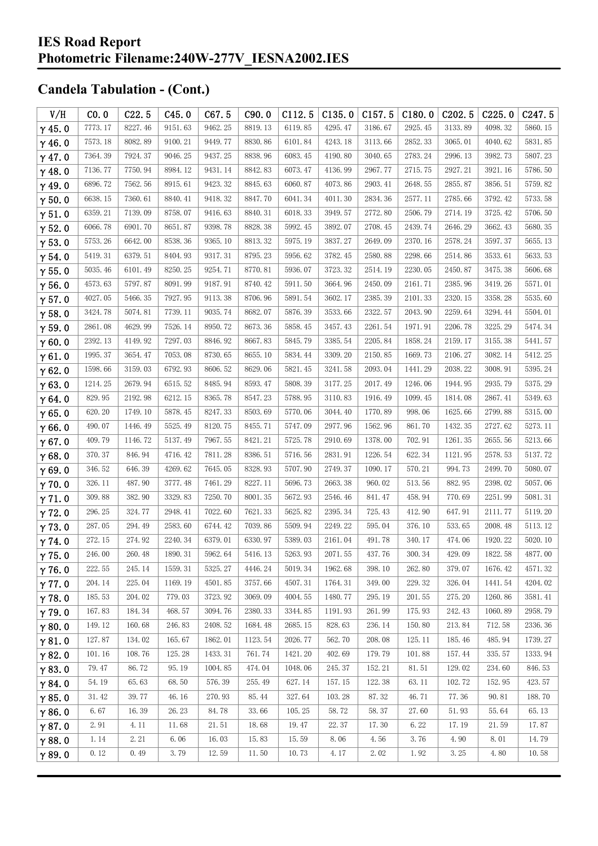| V/H           | CO.0    | C22.5   | C45.0   | C67.5   | C90.0   | C112.5  | C135.0  | C157.5  | C180.0  | C <sub>202.5</sub> | C225.0  | C <sub>247.5</sub> |
|---------------|---------|---------|---------|---------|---------|---------|---------|---------|---------|--------------------|---------|--------------------|
| $\gamma$ 45.0 | 7773.17 | 8227.46 | 9151.63 | 9462.25 | 8819.13 | 6119.85 | 4295.47 | 3186.67 | 2925.45 | 3133.89            | 4098.32 | 5860.15            |
| $\gamma$ 46.0 | 7573.18 | 8082.89 | 9100.21 | 9449.77 | 8830.86 | 6101.84 | 4243.18 | 3113.66 | 2852.33 | 3065.01            | 4040.62 | 5831.85            |
| $\gamma$ 47.0 | 7364.39 | 7924.37 | 9046.25 | 9437.25 | 8838.96 | 6083.45 | 4190.80 | 3040.65 | 2783.24 | 2996.13            | 3982.73 | 5807.23            |
| $\gamma$ 48.0 | 7136.77 | 7750.94 | 8984.12 | 9431.14 | 8842.83 | 6073.47 | 4136.99 | 2967.77 | 2715.75 | 2927.21            | 3921.16 | 5786.50            |
| $\gamma$ 49.0 | 6896.72 | 7562.56 | 8915.61 | 9423.32 | 8845.63 | 6060.87 | 4073.86 | 2903.41 | 2648.55 | 2855.87            | 3856.51 | 5759.82            |
| $\gamma$ 50.0 | 6638.15 | 7360.61 | 8840.41 | 9418.32 | 8847.70 | 6041.34 | 4011.30 | 2834.36 | 2577.11 | 2785.66            | 3792.42 | 5733.58            |
| $\gamma$ 51.0 | 6359.21 | 7139.09 | 8758.07 | 9416.63 | 8840.31 | 6018.33 | 3949.57 | 2772.80 | 2506.79 | 2714.19            | 3725.42 | 5706.50            |
| $\gamma$ 52.0 | 6066.78 | 6901.70 | 8651.87 | 9398.78 | 8828.38 | 5992.45 | 3892.07 | 2708.45 | 2439.74 | 2646.29            | 3662.43 | 5680.35            |
| $\gamma$ 53.0 | 5753.26 | 6642.00 | 8538.36 | 9365.10 | 8813.32 | 5975.19 | 3837.27 | 2649.09 | 2370.16 | 2578.24            | 3597.37 | 5655.13            |
| $\gamma$ 54.0 | 5419.31 | 6379.51 | 8404.93 | 9317.31 | 8795.23 | 5956.62 | 3782.45 | 2580.88 | 2298.66 | 2514.86            | 3533.61 | 5633.53            |
| $\gamma$ 55.0 | 5035.46 | 6101.49 | 8250.25 | 9254.71 | 8770.81 | 5936.07 | 3723.32 | 2514.19 | 2230.05 | 2450.87            | 3475.38 | 5606.68            |
| $\gamma$ 56.0 | 4573.63 | 5797.87 | 8091.99 | 9187.91 | 8740.42 | 5911.50 | 3664.96 | 2450.09 | 2161.71 | 2385.96            | 3419.26 | 5571.01            |
| $\gamma$ 57.0 | 4027.05 | 5466.35 | 7927.95 | 9113.38 | 8706.96 | 5891.54 | 3602.17 | 2385.39 | 2101.33 | 2320.15            | 3358.28 | 5535.60            |
| $\gamma$ 58.0 | 3424.78 | 5074.81 | 7739.11 | 9035.74 | 8682.07 | 5876.39 | 3533.66 | 2322.57 | 2043.90 | 2259.64            | 3294.44 | 5504.01            |
| $\gamma$ 59.0 | 2861.08 | 4629.99 | 7526.14 | 8950.72 | 8673.36 | 5858.45 | 3457.43 | 2261.54 | 1971.91 | 2206.78            | 3225.29 | 5474.34            |
| $\gamma$ 60.0 | 2392.13 | 4149.92 | 7297.03 | 8846.92 | 8667.83 | 5845.79 | 3385.54 | 2205.84 | 1858.24 | 2159.17            | 3155.38 | 5441.57            |
| $\gamma$ 61.0 | 1995.37 | 3654.47 | 7053.08 | 8730.65 | 8655.10 | 5834.44 | 3309.20 | 2150.85 | 1669.73 | 2106.27            | 3082.14 | 5412.25            |
| $\gamma$ 62.0 | 1598.66 | 3159.03 | 6792.93 | 8606.52 | 8629.06 | 5821.45 | 3241.58 | 2093.04 | 1441.29 | 2038.22            | 3008.91 | 5395.24            |
| $\gamma$ 63.0 | 1214.25 | 2679.94 | 6515.52 | 8485.94 | 8593.47 | 5808.39 | 3177.25 | 2017.49 | 1246.06 | 1944.95            | 2935.79 | 5375.29            |
| $\gamma$ 64.0 | 829.95  | 2192.98 | 6212.15 | 8365.78 | 8547.23 | 5788.95 | 3110.83 | 1916.49 | 1099.45 | 1814.08            | 2867.41 | 5349.63            |
| $\gamma$ 65.0 | 620.20  | 1749.10 | 5878.45 | 8247.33 | 8503.69 | 5770.06 | 3044.40 | 1770.89 | 998.06  | 1625.66            | 2799.88 | 5315.00            |
| $\gamma$ 66.0 | 490.07  | 1446.49 | 5525.49 | 8120.75 | 8455.71 | 5747.09 | 2977.96 | 1562.96 | 861.70  | 1432.35            | 2727.62 | 5273.11            |
| $\gamma$ 67.0 | 409.79  | 1146.72 | 5137.49 | 7967.55 | 8421.21 | 5725.78 | 2910.69 | 1378.00 | 702.91  | 1261.35            | 2655.56 | 5213.66            |
| $\gamma$ 68.0 | 370.37  | 846.94  | 4716.42 | 7811.28 | 8386.51 | 5716.56 | 2831.91 | 1226.54 | 622.34  | 1121.95            | 2578.53 | 5137.72            |
| $\gamma$ 69.0 | 346.52  | 646.39  | 4269.62 | 7645.05 | 8328.93 | 5707.90 | 2749.37 | 1090.17 | 570.21  | 994.73             | 2499.70 | 5080.07            |
| $\gamma$ 70.0 | 326.11  | 487.90  | 3777.48 | 7461.29 | 8227.11 | 5696.73 | 2663.38 | 960.02  | 513.56  | 882.95             | 2398.02 | 5057.06            |
| $\gamma$ 71.0 | 309.88  | 382.90  | 3329.83 | 7250.70 | 8001.35 | 5672.93 | 2546.46 | 841.47  | 458.94  | 770.69             | 2251.99 | 5081.31            |
| $\gamma$ 72.0 | 296.25  | 324.77  | 2948.41 | 7022.60 | 7621.33 | 5625.82 | 2395.34 | 725.43  | 412.90  | 647.91             | 2111.77 | 5119.20            |
| $\gamma$ 73.0 | 287.05  | 294.49  | 2583.60 | 6744.42 | 7039.86 | 5509.94 | 2249.22 | 595.04  | 376.10  | 533.65             | 2008.48 | 5113.12            |
| $\gamma$ 74.0 | 272.15  | 274.92  | 2240.34 | 6379.01 | 6330.97 | 5389.03 | 2161.04 | 491.78  | 340.17  | 474.06             | 1920.22 | 5020.10            |
| $\gamma$ 75.0 | 246.00  | 260.48  | 1890.31 | 5962.64 | 5416.13 | 5263.93 | 2071.55 | 437.76  | 300.34  | 429.09             | 1822.58 | 4877.00            |
| $\gamma$ 76.0 | 222.55  | 245.14  | 1559.31 | 5325.27 | 4446.24 | 5019.34 | 1962.68 | 398.10  | 262.80  | 379.07             | 1676.42 | 4571.32            |
| $\gamma$ 77.0 | 204.14  | 225.04  | 1169.19 | 4501.85 | 3757.66 | 4507.31 | 1764.31 | 349.00  | 229.32  | 326.04             | 1441.54 | 4204.02            |
| $\gamma$ 78.0 | 185.53  | 204.02  | 779.03  | 3723.92 | 3069.09 | 4004.55 | 1480.77 | 295.19  | 201.55  | 275.20             | 1260.86 | 3581.41            |
| $\gamma$ 79.0 | 167.83  | 184.34  | 468.57  | 3094.76 | 2380.33 | 3344.85 | 1191.93 | 261.99  | 175.93  | 242.43             | 1060.89 | 2958.79            |
| $\gamma$ 80.0 | 149.12  | 160.68  | 246.83  | 2408.52 | 1684.48 | 2685.15 | 828.63  | 236.14  | 150.80  | 213.84             | 712.58  | 2336.36            |
| $\gamma$ 81.0 | 127.87  | 134.02  | 165.67  | 1862.01 | 1123.54 | 2026.77 | 562.70  | 208.08  | 125.11  | 185.46             | 485.94  | 1739.27            |
| $\gamma$ 82.0 | 101.16  | 108.76  | 125.28  | 1433.31 | 761.74  | 1421.20 | 402.69  | 179.79  | 101.88  | 157.44             | 335.57  | 1333.94            |
| $\gamma$ 83.0 | 79.47   | 86.72   | 95.19   | 1004.85 | 474.04  | 1048.06 | 245.37  | 152.21  | 81.51   | 129.02             | 234.60  | 846.53             |
| $\gamma$ 84.0 | 54.19   | 65.63   | 68.50   | 576.39  | 255.49  | 627.14  | 157.15  | 122.38  | 63.11   | 102.72             | 152.95  | 423.57             |
| $\gamma$ 85.0 | 31.42   | 39.77   | 46.16   | 270.93  | 85.44   | 327.64  | 103.28  | 87.32   | 46.71   | 77.36              | 90.81   | 188.70             |
| $\gamma$ 86.0 | 6.67    | 16.39   | 26.23   | 84.78   | 33.66   | 105.25  | 58.72   | 58.37   | 27.60   | 51.93              | 55.64   | 65.13              |
| $\gamma$ 87.0 | 2.91    | 4.11    | 11.68   | 21.51   | 18.68   | 19.47   | 22.37   | 17.30   | 6.22    | 17.19              | 21.59   | 17.87              |
| $\gamma$ 88.0 | 1.14    | 2.21    | 6.06    | 16.03   | 15.83   | 15.59   | 8.06    | 4.56    | 3.76    | 4.90               | 8.01    | 14.79              |
| $\gamma$ 89.0 | 0.12    | 0.49    | 3.79    | 12.59   | 11.50   | 10.73   | 4.17    | 2.02    | 1.92    | 3.25               | 4.80    | 10.58              |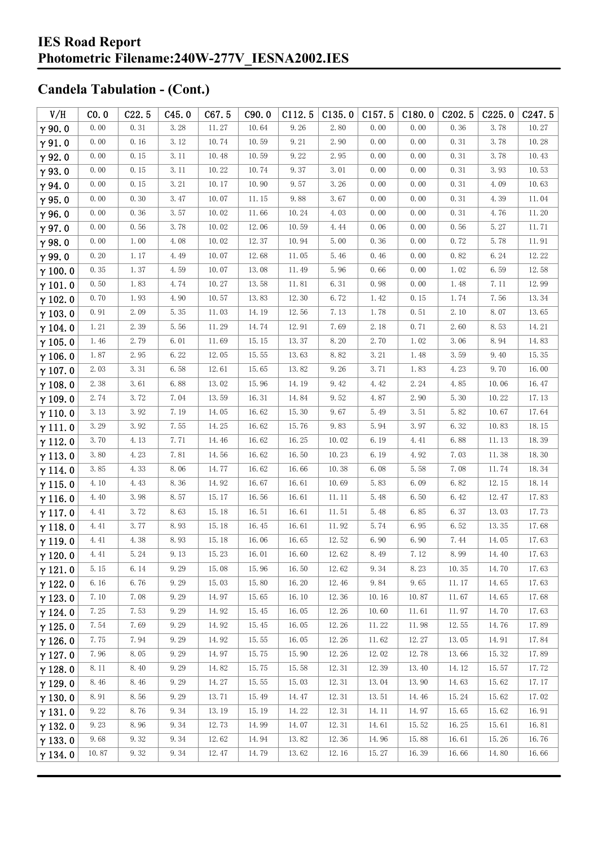| V/H            | CO.0  | C22.5    | C45.0 | C67.5 | C90.0 | C112.5 | C135.0 | C157.5 | C180.0 | C <sub>202.5</sub> | C225.0 | C <sub>247.5</sub> |
|----------------|-------|----------|-------|-------|-------|--------|--------|--------|--------|--------------------|--------|--------------------|
| $\gamma$ 90.0  | 0.00  | 0.31     | 3.28  | 11.27 | 10.64 | 9.26   | 2.80   | 0.00   | 0.00   | 0.36               | 3.78   | 10.27              |
| $\gamma$ 91.0  | 0.00  | 0.16     | 3.12  | 10.74 | 10.59 | 9.21   | 2.90   | 0.00   | 0.00   | 0.31               | 3.78   | 10.28              |
| $\gamma$ 92.0  | 0.00  | 0.15     | 3.11  | 10.48 | 10.59 | 9.22   | 2.95   | 0.00   | 0.00   | 0.31               | 3.78   | 10.43              |
| $\gamma$ 93.0  | 0.00  | 0.15     | 3.11  | 10.22 | 10.74 | 9.37   | 3.01   | 0.00   | 0.00   | 0.31               | 3.93   | 10.53              |
| $\gamma$ 94.0  | 0.00  | 0.15     | 3.21  | 10.17 | 10.90 | 9.57   | 3.26   | 0.00   | 0.00   | 0.31               | 4.09   | 10.63              |
| $\gamma$ 95.0  | 0.00  | 0.30     | 3.47  | 10.07 | 11.15 | 9.88   | 3.67   | 0.00   | 0.00   | 0.31               | 4.39   | 11.04              |
| $\gamma$ 96.0  | 0.00  | 0.36     | 3.57  | 10.02 | 11.66 | 10.24  | 4.03   | 0.00   | 0.00   | 0.31               | 4.76   | 11.20              |
| $\gamma$ 97.0  | 0.00  | 0.56     | 3.78  | 10.02 | 12.06 | 10.59  | 4.44   | 0.06   | 0.00   | 0.56               | 5.27   | 11.71              |
| $\gamma$ 98.0  | 0.00  | 1.00     | 4.08  | 10.02 | 12.37 | 10.94  | 5.00   | 0.36   | 0.00   | 0.72               | 5.78   | 11.91              |
| $\gamma$ 99.0  | 0.20  | 1.17     | 4.49  | 10.07 | 12.68 | 11.05  | 5.46   | 0.46   | 0.00   | 0.82               | 6.24   | 12.22              |
| $\gamma$ 100.0 | 0.35  | 1.37     | 4.59  | 10.07 | 13.08 | 11.49  | 5.96   | 0.66   | 0.00   | 1.02               | 6.59   | 12.58              |
| $\gamma$ 101.0 | 0.50  | 1.83     | 4.74  | 10.27 | 13.58 | 11.81  | 6.31   | 0.98   | 0.00   | 1.48               | 7.11   | 12.99              |
| $\gamma$ 102.0 | 0.70  | 1.93     | 4.90  | 10.57 | 13.83 | 12.30  | 6.72   | 1.42   | 0.15   | 1.74               | 7.56   | 13.34              |
| $\gamma$ 103.0 | 0.91  | 2.09     | 5.35  | 11.03 | 14.19 | 12.56  | 7.13   | 1.78   | 0.51   | 2.10               | 8.07   | 13.65              |
| $\gamma$ 104.0 | 1.21  | 2.39     | 5.56  | 11.29 | 14.74 | 12.91  | 7.69   | 2.18   | 0.71   | 2.60               | 8.53   | 14.21              |
| $\gamma$ 105.0 | 1.46  | 2.79     | 6.01  | 11.69 | 15.15 | 13.37  | 8.20   | 2.70   | 1.02   | 3.06               | 8.94   | 14.83              |
| $\gamma$ 106.0 | 1.87  | 2.95     | 6.22  | 12.05 | 15.55 | 13.63  | 8.82   | 3.21   | 1.48   | 3.59               | 9.40   | 15.35              |
| $\gamma$ 107.0 | 2.03  | 3.31     | 6.58  | 12.61 | 15.65 | 13.82  | 9.26   | 3.71   | 1.83   | 4.23               | 9.70   | 16.00              |
| $\gamma$ 108.0 | 2.38  | 3.61     | 6.88  | 13.02 | 15.96 | 14.19  | 9.42   | 4.42   | 2.24   | 4.85               | 10.06  | 16.47              |
| $\gamma$ 109.0 | 2.74  | 3.72     | 7.04  | 13.59 | 16.31 | 14.84  | 9.52   | 4.87   | 2.90   | 5.30               | 10.22  | 17.13              |
| $\gamma$ 110.0 | 3.13  | 3.92     | 7.19  | 14.05 | 16.62 | 15.30  | 9.67   | 5.49   | 3.51   | 5.82               | 10.67  | 17.64              |
| $\gamma$ 111.0 | 3.29  | 3.92     | 7.55  | 14.25 | 16.62 | 15.76  | 9.83   | 5.94   | 3.97   | 6.32               | 10.83  | 18.15              |
| $\gamma$ 112.0 | 3.70  | 4.13     | 7.71  | 14.46 | 16.62 | 16.25  | 10.02  | 6.19   | 4.41   | 6.88               | 11.13  | 18.39              |
| $\gamma$ 113.0 | 3.80  | 4.23     | 7.81  | 14.56 | 16.62 | 16.50  | 10.23  | 6.19   | 4.92   | 7.03               | 11.38  | 18.30              |
| $\gamma$ 114.0 | 3.85  | 4.33     | 8.06  | 14.77 | 16.62 | 16.66  | 10.38  | 6.08   | 5.58   | 7.08               | 11.74  | 18.34              |
| $\gamma$ 115.0 | 4.10  | 4.43     | 8.36  | 14.92 | 16.67 | 16.61  | 10.69  | 5.83   | 6.09   | 6.82               | 12.15  | 18.14              |
| $\gamma$ 116.0 | 4.40  | $3.\,98$ | 8.57  | 15.17 | 16.56 | 16.61  | 11.11  | 5.48   | 6.50   | 6.42               | 12.47  | 17.83              |
| $\gamma$ 117.0 | 4.41  | 3.72     | 8.63  | 15.18 | 16.51 | 16.61  | 11.51  | 5.48   | 6.85   | 6.37               | 13.03  | 17.73              |
| $\gamma$ 118.0 | 4.41  | 3.77     | 8.93  | 15.18 | 16.45 | 16.61  | 11.92  | 5.74   | 6.95   | 6.52               | 13.35  | 17.68              |
| $\gamma$ 119.0 | 4.41  | 4.38     | 8.93  | 15.18 | 16.06 | 16.65  | 12.52  | 6.90   | 6.90   | 7.44               | 14.05  | 17.63              |
| $\gamma$ 120.0 | 4.41  | 5.24     | 9.13  | 15.23 | 16.01 | 16.60  | 12.62  | 8.49   | 7.12   | 8.99               | 14.40  | 17.63              |
| $\gamma$ 121.0 | 5.15  | 6.14     | 9.29  | 15.08 | 15.96 | 16.50  | 12.62  | 9.34   | 8.23   | 10.35              | 14.70  | 17.63              |
| $\gamma$ 122.0 | 6.16  | 6.76     | 9.29  | 15.03 | 15.80 | 16.20  | 12.46  | 9.84   | 9.65   | 11.17              | 14.65  | 17.63              |
| $\gamma$ 123.0 | 7.10  | 7.08     | 9.29  | 14.97 | 15.65 | 16.10  | 12.36  | 10.16  | 10.87  | 11.67              | 14.65  | 17.68              |
| $\gamma$ 124.0 | 7.25  | 7.53     | 9.29  | 14.92 | 15.45 | 16.05  | 12.26  | 10.60  | 11.61  | 11.97              | 14.70  | 17.63              |
| $\gamma$ 125.0 | 7.54  | 7.69     | 9.29  | 14.92 | 15.45 | 16.05  | 12.26  | 11.22  | 11.98  | 12.55              | 14.76  | 17.89              |
| $\gamma$ 126.0 | 7.75  | 7.94     | 9.29  | 14.92 | 15.55 | 16.05  | 12.26  | 11.62  | 12.27  | 13.05              | 14.91  | 17.84              |
| $\gamma$ 127.0 | 7.96  | 8.05     | 9.29  | 14.97 | 15.75 | 15.90  | 12.26  | 12.02  | 12.78  | 13.66              | 15.32  | 17.89              |
| $\gamma$ 128.0 | 8.11  | 8.40     | 9.29  | 14.82 | 15.75 | 15.58  | 12.31  | 12.39  | 13.40  | 14.12              | 15.57  | 17.72              |
| $\gamma$ 129.0 | 8.46  | 8.46     | 9.29  | 14.27 | 15.55 | 15.03  | 12.31  | 13.04  | 13.90  | 14.63              | 15.62  | 17.17              |
| $\gamma$ 130.0 | 8.91  | 8.56     | 9.29  | 13.71 | 15.49 | 14.47  | 12.31  | 13.51  | 14.46  | 15.24              | 15.62  | 17.02              |
| $\gamma$ 131.0 | 9.22  | 8.76     | 9.34  | 13.19 | 15.19 | 14.22  | 12.31  | 14.11  | 14.97  | 15.65              | 15.62  | 16.91              |
| $\gamma$ 132.0 | 9.23  | 8.96     | 9.34  | 12.73 | 14.99 | 14.07  | 12.31  | 14.61  | 15.52  | 16.25              | 15.61  | 16.81              |
| $\gamma$ 133.0 | 9.68  | 9.32     | 9.34  | 12.62 | 14.94 | 13.82  | 12.36  | 14.96  | 15.88  | 16.61              | 15.26  | 16.76              |
| $\gamma$ 134.0 | 10.87 | 9.32     | 9.34  | 12.47 | 14.79 | 13.62  | 12.16  | 15.27  | 16.39  | 16.66              | 14.80  | 16.66              |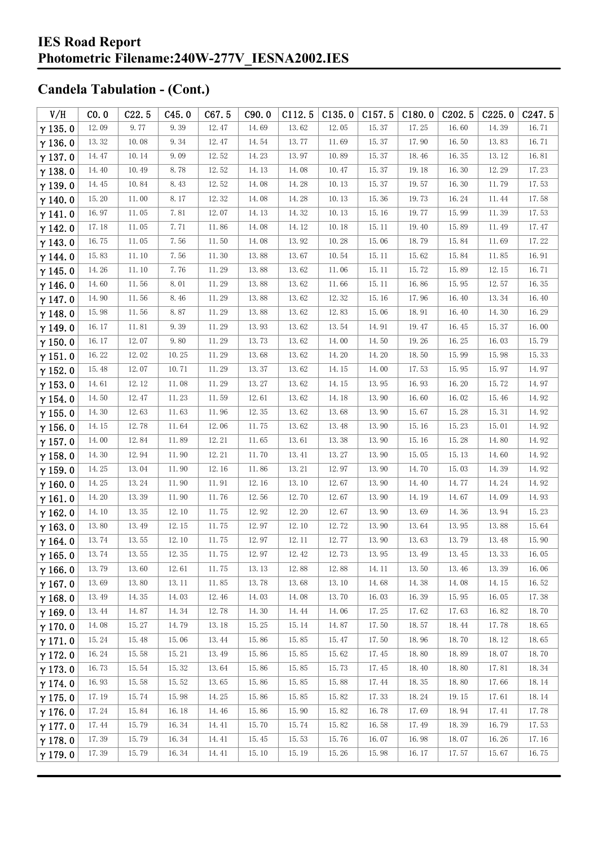| V/H            | CO.0  | C22.5 | C45.0 | C67.5 | C90.0 | C112.5 | C135.0 | C157.5 | C180.0 | C <sub>202.5</sub> | C225.0 | C247.5 |
|----------------|-------|-------|-------|-------|-------|--------|--------|--------|--------|--------------------|--------|--------|
| $\gamma$ 135.0 | 12.09 | 9.77  | 9.39  | 12.47 | 14.69 | 13.62  | 12.05  | 15.37  | 17.25  | 16.60              | 14.39  | 16.71  |
| $\gamma$ 136.0 | 13.32 | 10.08 | 9.34  | 12.47 | 14.54 | 13.77  | 11.69  | 15.37  | 17.90  | 16.50              | 13.83  | 16.71  |
| $\gamma$ 137.0 | 14.47 | 10.14 | 9.09  | 12.52 | 14.23 | 13.97  | 10.89  | 15.37  | 18.46  | 16.35              | 13.12  | 16.81  |
| $\gamma$ 138.0 | 14.40 | 10.49 | 8.78  | 12.52 | 14.13 | 14.08  | 10.47  | 15.37  | 19.18  | 16.30              | 12.29  | 17.23  |
| $\gamma$ 139.0 | 14.45 | 10.84 | 8.43  | 12.52 | 14.08 | 14.28  | 10.13  | 15.37  | 19.57  | 16.30              | 11.79  | 17.53  |
| $\gamma$ 140.0 | 15.20 | 11.00 | 8.17  | 12.32 | 14.08 | 14.28  | 10.13  | 15.36  | 19.73  | 16.24              | 11.44  | 17.58  |
| $\gamma$ 141.0 | 16.97 | 11.05 | 7.81  | 12.07 | 14.13 | 14.32  | 10.13  | 15.16  | 19.77  | 15.99              | 11.39  | 17.53  |
| $\gamma$ 142.0 | 17.18 | 11.05 | 7.71  | 11.86 | 14.08 | 14.12  | 10.18  | 15.11  | 19.40  | 15.89              | 11.49  | 17.47  |
| $\gamma$ 143.0 | 16.75 | 11.05 | 7.56  | 11.50 | 14.08 | 13.92  | 10.28  | 15.06  | 18.79  | 15.84              | 11.69  | 17.22  |
| $\gamma$ 144.0 | 15.83 | 11.10 | 7.56  | 11.30 | 13.88 | 13.67  | 10.54  | 15.11  | 15.62  | 15.84              | 11.85  | 16.91  |
| $\gamma$ 145.0 | 14.26 | 11.10 | 7.76  | 11.29 | 13.88 | 13.62  | 11.06  | 15.11  | 15.72  | 15.89              | 12.15  | 16.71  |
| $\gamma$ 146.0 | 14.60 | 11.56 | 8.01  | 11.29 | 13.88 | 13.62  | 11.66  | 15.11  | 16.86  | 15.95              | 12.57  | 16.35  |
| $\gamma$ 147.0 | 14.90 | 11.56 | 8.46  | 11.29 | 13.88 | 13.62  | 12.32  | 15.16  | 17.96  | 16.40              | 13.34  | 16.40  |
| $\gamma$ 148.0 | 15.98 | 11.56 | 8.87  | 11.29 | 13.88 | 13.62  | 12.83  | 15.06  | 18.91  | 16.40              | 14.30  | 16.29  |
| $\gamma$ 149.0 | 16.17 | 11.81 | 9.39  | 11.29 | 13.93 | 13.62  | 13.54  | 14.91  | 19.47  | 16.45              | 15.37  | 16.00  |
| $\gamma$ 150.0 | 16.17 | 12.07 | 9.80  | 11.29 | 13.73 | 13.62  | 14.00  | 14.50  | 19.26  | 16.25              | 16.03  | 15.79  |
| $\gamma$ 151.0 | 16.22 | 12.02 | 10.25 | 11.29 | 13.68 | 13.62  | 14.20  | 14.20  | 18.50  | 15.99              | 15.98  | 15.33  |
| $\gamma$ 152.0 | 15.48 | 12.07 | 10.71 | 11.29 | 13.37 | 13.62  | 14.15  | 14.00  | 17.53  | 15.95              | 15.97  | 14.97  |
| $\gamma$ 153.0 | 14.61 | 12.12 | 11.08 | 11.29 | 13.27 | 13.62  | 14.15  | 13.95  | 16.93  | 16.20              | 15.72  | 14.97  |
| $\gamma$ 154.0 | 14.50 | 12.47 | 11.23 | 11.59 | 12.61 | 13.62  | 14.18  | 13.90  | 16.60  | 16.02              | 15.46  | 14.92  |
| $\gamma$ 155.0 | 14.30 | 12.63 | 11.63 | 11.96 | 12.35 | 13.62  | 13.68  | 13.90  | 15.67  | 15.28              | 15.31  | 14.92  |
| $\gamma$ 156.0 | 14.15 | 12.78 | 11.64 | 12.06 | 11.75 | 13.62  | 13.48  | 13.90  | 15.16  | 15.23              | 15.01  | 14.92  |
| $\gamma$ 157.0 | 14.00 | 12.84 | 11.89 | 12.21 | 11.65 | 13.61  | 13.38  | 13.90  | 15.16  | 15.28              | 14.80  | 14.92  |
| $\gamma$ 158.0 | 14.30 | 12.94 | 11.90 | 12.21 | 11.70 | 13.41  | 13.27  | 13.90  | 15.05  | 15.13              | 14.60  | 14.92  |
| $\gamma$ 159.0 | 14.25 | 13.04 | 11.90 | 12.16 | 11.86 | 13.21  | 12.97  | 13.90  | 14.70  | 15.03              | 14.39  | 14.92  |
| $\gamma$ 160.0 | 14.25 | 13.24 | 11.90 | 11.91 | 12.16 | 13.10  | 12.67  | 13.90  | 14.40  | 14.77              | 14.24  | 14.92  |
| $\gamma$ 161.0 | 14.20 | 13.39 | 11.90 | 11.76 | 12.56 | 12.70  | 12.67  | 13.90  | 14.19  | 14.67              | 14.09  | 14.93  |
| $\gamma$ 162.0 | 14.10 | 13.35 | 12.10 | 11.75 | 12.92 | 12.20  | 12.67  | 13.90  | 13.69  | 14.36              | 13.94  | 15.23  |
| $\gamma$ 163.0 | 13.80 | 13.49 | 12.15 | 11.75 | 12.97 | 12.10  | 12.72  | 13.90  | 13.64  | 13.95              | 13.88  | 15.64  |
| $\gamma$ 164.0 | 13.74 | 13.55 | 12.10 | 11.75 | 12.97 | 12.11  | 12.77  | 13.90  | 13.63  | 13.79              | 13.48  | 15.90  |
| $\gamma$ 165.0 | 13.74 | 13.55 | 12.35 | 11.75 | 12.97 | 12.42  | 12.73  | 13.95  | 13.49  | 13.45              | 13.33  | 16.05  |
| $\gamma$ 166.0 | 13.79 | 13.60 | 12.61 | 11.75 | 13.13 | 12.88  | 12.88  | 14.11  | 13.50  | 13.46              | 13.39  | 16.06  |
| $\gamma$ 167.0 | 13.69 | 13.80 | 13.11 | 11.85 | 13.78 | 13.68  | 13.10  | 14.68  | 14.38  | 14.08              | 14.15  | 16.52  |
| $\gamma$ 168.0 | 13.49 | 14.35 | 14.03 | 12.46 | 14.03 | 14.08  | 13.70  | 16.03  | 16.39  | 15.95              | 16.05  | 17.38  |
| $\gamma$ 169.0 | 13.44 | 14.87 | 14.34 | 12.78 | 14.30 | 14.44  | 14.06  | 17.25  | 17.62  | 17.63              | 16.82  | 18.70  |
| $\gamma$ 170.0 | 14.08 | 15.27 | 14.79 | 13.18 | 15.25 | 15.14  | 14.87  | 17.50  | 18.57  | 18.44              | 17.78  | 18.65  |
| $\gamma$ 171.0 | 15.24 | 15.48 | 15.06 | 13.44 | 15.86 | 15.85  | 15.47  | 17.50  | 18.96  | 18.70              | 18.12  | 18.65  |
| $\gamma$ 172.0 | 16.24 | 15.58 | 15.21 | 13.49 | 15.86 | 15.85  | 15.62  | 17.45  | 18.80  | 18.89              | 18.07  | 18.70  |
| $\gamma$ 173.0 | 16.73 | 15.54 | 15.32 | 13.64 | 15.86 | 15.85  | 15.73  | 17.45  | 18.40  | 18.80              | 17.81  | 18.34  |
| $\gamma$ 174.0 | 16.93 | 15.58 | 15.52 | 13.65 | 15.86 | 15.85  | 15.88  | 17.44  | 18.35  | 18.80              | 17.66  | 18.14  |
| $\gamma$ 175.0 | 17.19 | 15.74 | 15.98 | 14.25 | 15.86 | 15.85  | 15.82  | 17.33  | 18.24  | 19.15              | 17.61  | 18.14  |
| $\gamma$ 176.0 | 17.24 | 15.84 | 16.18 | 14.46 | 15.86 | 15.90  | 15.82  | 16.78  | 17.69  | 18.94              | 17.41  | 17.78  |
| $\gamma$ 177.0 | 17.44 | 15.79 | 16.34 | 14.41 | 15.70 | 15.74  | 15.82  | 16.58  | 17.49  | 18.39              | 16.79  | 17.53  |
| $\gamma$ 178.0 | 17.39 | 15.79 | 16.34 | 14.41 | 15.45 | 15.53  | 15.76  | 16.07  | 16.98  | 18.07              | 16.26  | 17.16  |
| $\gamma$ 179.0 | 17.39 | 15.79 | 16.34 | 14.41 | 15.10 | 15.19  | 15.26  | 15.98  | 16.17  | 17.57              | 15.67  | 16.75  |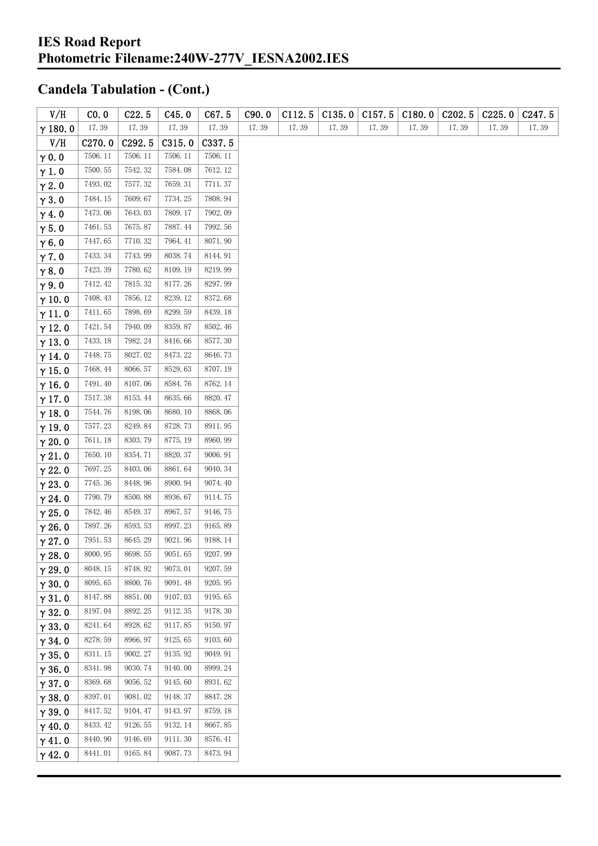| V/H            | CO.0    | C22.5   | C45.0   | C67.5   | C90.0 | C112.5 | C135.0 | C157.5 | C180.0 | C <sub>2</sub> 02.5 | C225.0 | C <sub>247.5</sub> |
|----------------|---------|---------|---------|---------|-------|--------|--------|--------|--------|---------------------|--------|--------------------|
| $\gamma$ 180.0 | 17.39   | 17.39   | 17.39   | 17.39   | 17.39 | 17.39  | 17.39  | 17.39  | 17.39  | 17.39               | 17.39  | 17.39              |
| V/H            | C270.0  | C292.5  | C315.0  | C337.5  |       |        |        |        |        |                     |        |                    |
| $\gamma$ 0.0   | 7506.11 | 7506.11 | 7506.11 | 7506.11 |       |        |        |        |        |                     |        |                    |
| $\gamma$ 1.0   | 7500.55 | 7542.32 | 7584.08 | 7612.12 |       |        |        |        |        |                     |        |                    |
| $\gamma$ 2.0   | 7493.02 | 7577.32 | 7659.31 | 7711.37 |       |        |        |        |        |                     |        |                    |
| $\gamma$ 3.0   | 7484.15 | 7609.67 | 7734.25 | 7808.94 |       |        |        |        |        |                     |        |                    |
| $\gamma$ 4.0   | 7473.06 | 7643.03 | 7809.17 | 7902.09 |       |        |        |        |        |                     |        |                    |
| $\gamma$ 5.0   | 7461.53 | 7675.87 | 7887.44 | 7992.56 |       |        |        |        |        |                     |        |                    |
| $\gamma$ 6.0   | 7447.65 | 7710.32 | 7964.41 | 8071.90 |       |        |        |        |        |                     |        |                    |
| $\gamma$ 7.0   | 7433.34 | 7743.99 | 8038.74 | 8144.91 |       |        |        |        |        |                     |        |                    |
| $\gamma$ 8.0   | 7423.39 | 7780.62 | 8109.19 | 8219.99 |       |        |        |        |        |                     |        |                    |
| $\gamma$ 9.0   | 7412.42 | 7815.32 | 8177.26 | 8297.99 |       |        |        |        |        |                     |        |                    |
| $\gamma$ 10.0  | 7408.43 | 7856.12 | 8239.12 | 8372.68 |       |        |        |        |        |                     |        |                    |
| $\gamma$ 11.0  | 7411.65 | 7898.69 | 8299.59 | 8439.18 |       |        |        |        |        |                     |        |                    |
| $\gamma$ 12.0  | 7421.54 | 7940.09 | 8359.87 | 8502.46 |       |        |        |        |        |                     |        |                    |
| $\gamma$ 13.0  | 7433.18 | 7982.24 | 8416.66 | 8577.30 |       |        |        |        |        |                     |        |                    |
| $\gamma$ 14.0  | 7448.75 | 8027.02 | 8473.22 | 8646.73 |       |        |        |        |        |                     |        |                    |
| $\gamma$ 15.0  | 7468.44 | 8066.57 | 8529.63 | 8707.19 |       |        |        |        |        |                     |        |                    |
| $\gamma$ 16.0  | 7491.40 | 8107.06 | 8584.76 | 8762.14 |       |        |        |        |        |                     |        |                    |
| $\gamma$ 17.0  | 7517.38 | 8153.44 | 8635.66 | 8820.47 |       |        |        |        |        |                     |        |                    |
| $\gamma$ 18.0  | 7544.76 | 8198.06 | 8680.10 | 8868.06 |       |        |        |        |        |                     |        |                    |
| $\gamma$ 19.0  | 7577.23 | 8249.84 | 8728.73 | 8911.95 |       |        |        |        |        |                     |        |                    |
| $\gamma$ 20.0  | 7611.18 | 8303.79 | 8775.19 | 8960.99 |       |        |        |        |        |                     |        |                    |
| $\gamma$ 21.0  | 7650.10 | 8354.71 | 8820.37 | 9006.91 |       |        |        |        |        |                     |        |                    |
| $\gamma$ 22.0  | 7697.25 | 8403.06 | 8861.64 | 9040.34 |       |        |        |        |        |                     |        |                    |
| $\gamma$ 23.0  | 7745.36 | 8448.96 | 8900.94 | 9074.40 |       |        |        |        |        |                     |        |                    |
| $\gamma$ 24.0  | 7790.79 | 8500.88 | 8936.67 | 9114.75 |       |        |        |        |        |                     |        |                    |
| $\gamma$ 25.0  | 7842.46 | 8549.37 | 8967.57 | 9146.75 |       |        |        |        |        |                     |        |                    |
| $\gamma$ 26.0  | 7897.26 | 8593.53 | 8997.23 | 9165.89 |       |        |        |        |        |                     |        |                    |
| $\gamma$ 27.0  | 7951.53 | 8645.29 | 9021.96 | 9188.14 |       |        |        |        |        |                     |        |                    |
| $\gamma$ 28.0  | 8000.95 | 8698.55 | 9051.65 | 9207.99 |       |        |        |        |        |                     |        |                    |
| $\gamma$ 29.0  | 8048.15 | 8748.92 | 9073.01 | 9207.59 |       |        |        |        |        |                     |        |                    |
| $\gamma$ 30.0  | 8095.65 | 8800.76 | 9091.48 | 9205.95 |       |        |        |        |        |                     |        |                    |
| $\gamma$ 31.0  | 8147.88 | 8851.00 | 9107.03 | 9195.65 |       |        |        |        |        |                     |        |                    |
| $\gamma$ 32.0  | 8197.04 | 8892.25 | 9112.35 | 9178.30 |       |        |        |        |        |                     |        |                    |
| $\gamma$ 33.0  | 8241.64 | 8928.62 | 9117.85 | 9150.97 |       |        |        |        |        |                     |        |                    |
| $\gamma$ 34.0  | 8278.59 | 8966.97 | 9125.65 | 9103.60 |       |        |        |        |        |                     |        |                    |
| $\gamma$ 35.0  | 8311.15 | 9002.27 | 9135.92 | 9049.91 |       |        |        |        |        |                     |        |                    |
| $\gamma$ 36.0  | 8341.98 | 9030.74 | 9140.00 | 8999.24 |       |        |        |        |        |                     |        |                    |
| $\gamma$ 37.0  | 8369.68 | 9056.52 | 9145.60 | 8931.62 |       |        |        |        |        |                     |        |                    |
| $\gamma$ 38.0  | 8397.01 | 9081.02 | 9148.37 | 8847.28 |       |        |        |        |        |                     |        |                    |
| $\gamma$ 39.0  | 8417.52 | 9104.47 | 9143.97 | 8759.18 |       |        |        |        |        |                     |        |                    |
| $\gamma$ 40.0  | 8433.42 | 9126.55 | 9132.14 | 8667.85 |       |        |        |        |        |                     |        |                    |
| $\gamma$ 41.0  | 8440.90 | 9146.69 | 9111.30 | 8576.41 |       |        |        |        |        |                     |        |                    |
| $\gamma$ 42.0  | 8441.01 | 9165.84 | 9087.73 | 8473.94 |       |        |        |        |        |                     |        |                    |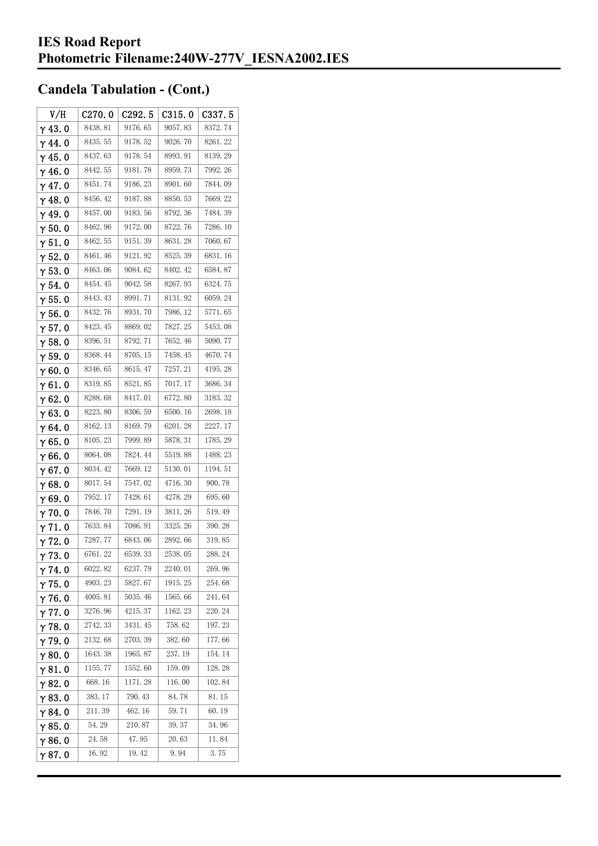| V/H            | C270.0  | C <sub>292.5</sub> | C315.0  | C337.5  |
|----------------|---------|--------------------|---------|---------|
| $\gamma$ 43.0  | 8438.81 | 9176.65            | 9057.83 | 8372.74 |
| $\gamma$ 44. 0 | 8435.55 | 9178.52            | 9026.70 | 8261.22 |
| $\gamma$ 45.0  | 8437.63 | 9178.54            | 8993.91 | 8139.29 |
| γ46.0          | 8442.55 | 9181.78            | 8959.73 | 7992.26 |
| $\gamma$ 47.0  | 8451.74 | 9186.23            | 8901.60 | 7844.09 |
| $\gamma$ 48.0  | 8456.42 | 9187.88            | 8850.53 | 7669.22 |
| $\gamma$ 49.0  | 8457.00 | 9183.56            | 8792.36 | 7484.39 |
| $\gamma$ 50. 0 | 8462.96 | 9172.00            | 8722.76 | 7286.10 |
| $\gamma$ 51. 0 | 8462.55 | 9151.39            | 8631.28 | 7060.67 |
| $\gamma$ 52.0  | 8461.46 | 9121.92            | 8525.39 | 6831.16 |
| $\gamma$ 53.0  | 8463.06 | 9084.62            | 8402.42 | 6584.87 |
| $\gamma$ 54. 0 | 8454.45 | 9042.58            | 8267.93 | 6324.75 |
| $\gamma$ 55.0  | 8443.43 | 8991.71            | 8131.92 | 6059.24 |
| $\gamma$ 56. 0 | 8432.76 | 8931.70            | 7986.12 | 5771.65 |
| $\gamma$ 57.0  | 8423.45 | 8869.02            | 7827.25 | 5453.08 |
| $\gamma$ 58.0  | 8396.51 | 8792.71            | 7652.46 | 5090.77 |
| $\gamma$ 59.0  | 8368.44 | 8705.15            | 7458.45 | 4670.74 |
| $\gamma$ 60.0  | 8346.65 | 8615.47            | 7257.21 | 4195.28 |
| $\gamma$ 61. 0 | 8319.85 | 8521.85            | 7017.17 | 3686.34 |
| $\gamma$ 62.0  | 8288.68 | 8417.01            | 6772.80 | 3183.32 |
| $\gamma$ 63.0  | 8223.80 | 8306.59            | 6500.16 | 2698.18 |
| $\gamma$ 64.0  | 8162.13 | 8169.79            | 6201.28 | 2227.17 |
| $\gamma$ 65.0  | 8105.23 | 7999.89            | 5878.31 | 1785.29 |
| $\gamma$ 66.0  | 8064.08 | 7824.44            | 5519.88 | 1488.23 |
| $\gamma$ 67. 0 | 8034.42 | 7669.12            | 5130.01 | 1194.51 |
| $\gamma$ 68.0  | 8017.54 | 7547.02            | 4716.30 | 900.78  |
| $\gamma$ 69.0  | 7952.17 | 7428.61            | 4278.29 | 695.60  |
| $\gamma$ 70.0  | 7846.70 | 7291.19            | 3811.26 | 519.49  |
| $\gamma$ 71.0  | 7633.84 | 7086.91            | 3325.26 | 390.28  |
| $\gamma$ 72.0  | 7287.77 | 6843.06            | 2892.66 | 319.85  |
| $\gamma$ 73.0  | 6761.22 | 6539.33            | 2538.05 | 288.24  |
| $\gamma$ 74.0  | 6022.82 | 6237.79            | 2240.01 | 269.96  |
| γ75.0          | 4903.23 | 5827.67            | 1915.25 | 254.68  |
| $\gamma$ 76.0  | 4005.81 | 5035.46            | 1565.66 | 241.64  |
| $\gamma$ 77.0  | 3276.96 | 4215.37            | 1162.23 | 220.24  |
| $\gamma$ 78.0  | 2742.33 | 3431.45            | 758.62  | 197.23  |
| $\gamma$ 79.0  | 2132.68 | 2703.39            | 382.60  | 177.66  |
| $\gamma$ 80.0  | 1643.38 | 1965.87            | 237.19  | 154.14  |
| $\gamma$ 81.0  | 1155.77 | 1552.60            | 159.09  | 128.28  |
| $\gamma$ 82.0  | 668.16  | 1171.28            | 116.00  | 102.84  |
| $\gamma$ 83.0  | 383.17  | 790.43             | 84.78   | 81.15   |
| $\gamma$ 84.0  | 211.39  | 462.16             | 59.71   | 60.19   |
| $\gamma$ 85.0  | 54.29   | 210.87             | 39.37   | 34.96   |
| γ86.0          | 24.58   | 47.95              | 20.63   | 11.84   |
| γ87.0          | 16.92   | 19.42              | 9.94    | 3.75    |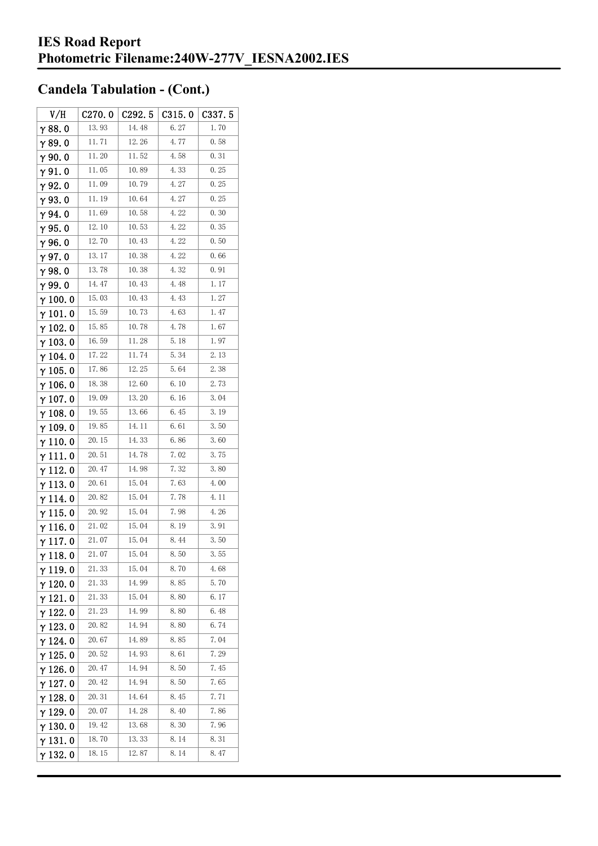| V/H             | C270.0 | C292.5 | C315.0 | C337.5 |
|-----------------|--------|--------|--------|--------|
| $\gamma$ 88. 0  | 13.93  | 14.48  | 6.27   | 1.70   |
| γ89.0           | 11.71  | 12.26  | 4.77   | 0.58   |
| $\gamma$ 90.0   | 11.20  | 11.52  | 4.58   | 0.31   |
| $\gamma$ 91. 0  | 11.05  | 10.89  | 4.33   | 0.25   |
| γ92.0           | 11.09  | 10.79  | 4.27   | 0.25   |
| $\gamma$ 93.0   | 11.19  | 10.64  | 4.27   | 0.25   |
| $\gamma$ 94.0   | 11.69  | 10.58  | 4.22   | 0.30   |
| $\gamma$ 95.0   | 12.10  | 10.53  | 4.22   | 0.35   |
| γ96.0           | 12.70  | 10.43  | 4.22   | 0.50   |
| $\gamma$ 97.0   | 13.17  | 10.38  | 4.22   | 0.66   |
| $\gamma$ 98.0   | 13.78  | 10.38  | 4.32   | 0.91   |
| γ99.0           | 14.47  | 10.43  | 4.48   | 1.17   |
| $\gamma$ 100. 0 | 15.03  | 10.43  | 4.43   | 1.27   |
| $\gamma$ 101.0  | 15.59  | 10.73  | 4.63   | 1.47   |
| $\gamma$ 102.0  | 15.85  | 10.78  | 4.78   | 1.67   |
| $\gamma$ 103. 0 | 16.59  | 11.28  | 5.18   | 1.97   |
| $\gamma$ 104.0  | 17.22  | 11.74  | 5.34   | 2.13   |
| $\gamma$ 105. 0 | 17.86  | 12.25  | 5.64   | 2.38   |
| $\gamma$ 106. 0 | 18.38  | 12.60  | 6.10   | 2.73   |
| $\gamma$ 107. 0 | 19.09  | 13.20  | 6.16   | 3.04   |
| $\gamma$ 108.0  | 19.55  | 13.66  | 6.45   | 3.19   |
| $\gamma$ 109.0  | 19.85  | 14.11  | 6.61   | 3.50   |
| $\gamma$ 110. 0 | 20.15  | 14.33  | 6.86   | 3.60   |
| γ111.0          | 20.51  | 14.78  | 7.02   | 3.75   |
| $\gamma$ 112. 0 | 20.47  | 14. 98 | 7.32   | 3.80   |
| $\gamma$ 113.0  | 20.61  | 15.04  | 7.63   | 4.00   |
| γ 114. 0        | 20.82  | 15.04  | 7.78   | 4. 11  |
| $\gamma$ 115.0  | 20.92  | 15.04  | 7.98   | 4.26   |
| γ116.0          | 21.02  | 15.04  | 8.19   | 3.91   |
| γ117.0          | 21.07  | 15.04  | 8.44   | 3.50   |
| $\gamma$ 118.0  | 21.07  | 15.04  | 8.50   | 3.55   |
| γ119.0          | 21.33  | 15.04  | 8.70   | 4.68   |
| $\gamma$ 120.0  | 21.33  | 14.99  | 8.85   | 5.70   |
| $\gamma$ 121.0  | 21.33  | 15.04  | 8.80   | 6. 17  |
| $\gamma$ 122. 0 | 21.23  | 14.99  | 8.80   | 6.48   |
| $\gamma$ 123.0  | 20.82  | 14.94  | 8.80   | 6.74   |
| $\gamma$ 124.0  | 20.67  | 14.89  | 8.85   | 7.04   |
| $\gamma$ 125. 0 | 20.52  | 14.93  | 8.61   | 7.29   |
| γ 126. 0        | 20.47  | 14.94  | 8.50   | 7.45   |
| $\gamma$ 127. 0 | 20.42  | 14.94  | 8.50   | 7.65   |
| $\gamma$ 128. 0 | 20.31  | 14.64  | 8.45   | 7.71   |
| γ 129. 0        | 20.07  | 14.28  | 8.40   | 7.86   |
| $\gamma$ 130. 0 | 19.42  | 13.68  | 8.30   | 7.96   |
| γ131.0          | 18.70  | 13.33  | 8.14   | 8.31   |
| $\gamma$ 132. 0 | 18.15  | 12.87  | 8.14   | 8.47   |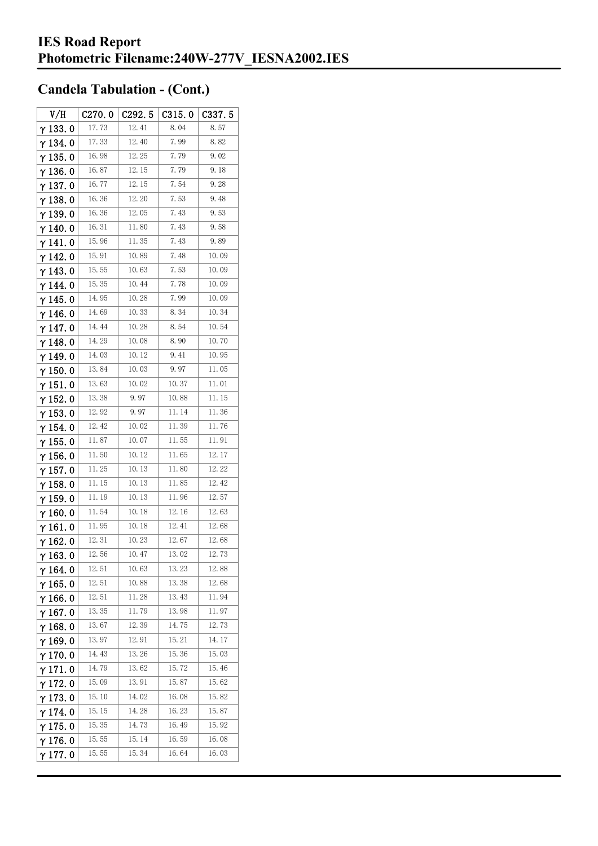| V/H             | C270.0 | C292.5 | C315.0 | C337.5 |
|-----------------|--------|--------|--------|--------|
| $\gamma$ 133. 0 | 17.73  | 12.41  | 8.04   | 8.57   |
| γ134.0          | 17.33  | 12.40  | 7.99   | 8.82   |
| $\gamma$ 135.0  | 16.98  | 12.25  | 7.79   | 9.02   |
| $\gamma$ 136.0  | 16.87  | 12.15  | 7.79   | 9.18   |
| $\gamma$ 137. 0 | 16.77  | 12.15  | 7.54   | 9.28   |
| $\gamma$ 138. 0 | 16.36  | 12.20  | 7.53   | 9.48   |
| $\gamma$ 139.0  | 16.36  | 12.05  | 7.43   | 9.53   |
| $\gamma$ 140.0  | 16.31  | 11.80  | 7.43   | 9.58   |
| $\gamma$ 141. 0 | 15.96  | 11. 35 | 7.43   | 9.89   |
| $\gamma$ 142. 0 | 15.91  | 10.89  | 7.48   | 10.09  |
| $\gamma$ 143.0  | 15.55  | 10.63  | 7.53   | 10.09  |
| γ 144. 0        | 15.35  | 10.44  | 7.78   | 10.09  |
| γ 145. 0        | 14.95  | 10.28  | 7.99   | 10.09  |
| $\gamma$ 146.0  | 14.69  | 10.33  | 8.34   | 10.34  |
| $\gamma$ 147.0  | 14.44  | 10.28  | 8.54   | 10.54  |
| γ148.0          | 14. 29 | 10.08  | 8.90   | 10.70  |
| $\gamma$ 149.0  | 14.03  | 10.12  | 9.41   | 10.95  |
| $\gamma$ 150. 0 | 13.84  | 10.03  | 9.97   | 11.05  |
| $\gamma$ 151. 0 | 13.63  | 10.02  | 10.37  | 11.01  |
| $\gamma$ 152.0  | 13.38  | 9.97   | 10.88  | 11. 15 |
| $\gamma$ 153. 0 | 12.92  | 9.97   | 11.14  | 11.36  |
| $\gamma$ 154. 0 | 12.42  | 10.02  | 11.39  | 11.76  |
| $\gamma$ 155. 0 | 11.87  | 10.07  | 11.55  | 11.91  |
| $\gamma$ 156. 0 | 11.50  | 10.12  | 11.65  | 12.17  |
| $\gamma$ 157. 0 | 11.25  | 10.13  | 11.80  | 12.22  |
| $\gamma$ 158. 0 | 11.15  | 10.13  | 11.85  | 12.42  |
| $\gamma$ 159. 0 | 11.19  | 10.13  | 11.96  | 12.57  |
| $\gamma$ 160. 0 | 11.54  | 10.18  | 12.16  | 12.63  |
| γ161.0          | 11.95  | 10.18  | 12.41  | 12.68  |
| $\gamma$ 162. 0 | 12.31  | 10.23  | 12.67  | 12.68  |
| $\gamma$ 163. 0 | 12.56  | 10.47  | 13.02  | 12.73  |
| $\gamma$ 164. 0 | 12.51  | 10.63  | 13.23  | 12.88  |
| $\gamma$ 165.0  | 12.51  | 10.88  | 13.38  | 12.68  |
| $\gamma$ 166.0  | 12.51  | 11.28  | 13.43  | 11.94  |
| $\gamma$ 167.0  | 13.35  | 11.79  | 13.98  | 11.97  |
| $\gamma$ 168.0  | 13.67  | 12.39  | 14.75  | 12.73  |
| $\gamma$ 169.0  | 13.97  | 12.91  | 15.21  | 14.17  |
| $\gamma$ 170.0  | 14.43  | 13.26  | 15.36  | 15.03  |
| $\gamma$ 171.0  | 14.79  | 13.62  | 15.72  | 15.46  |
| $\gamma$ 172.0  | 15.09  | 13.91  | 15.87  | 15.62  |
| $\gamma$ 173.0  | 15.10  | 14.02  | 16.08  | 15.82  |
| γ 174. 0        | 15.15  | 14.28  | 16.23  | 15.87  |
| $\gamma$ 175. 0 | 15.35  | 14.73  | 16.49  | 15.92  |
| $\gamma$ 176.0  | 15.55  | 15.14  | 16. 59 | 16.08  |
| $\gamma$ 177. 0 | 15.55  | 15.34  | 16.64  | 16.03  |